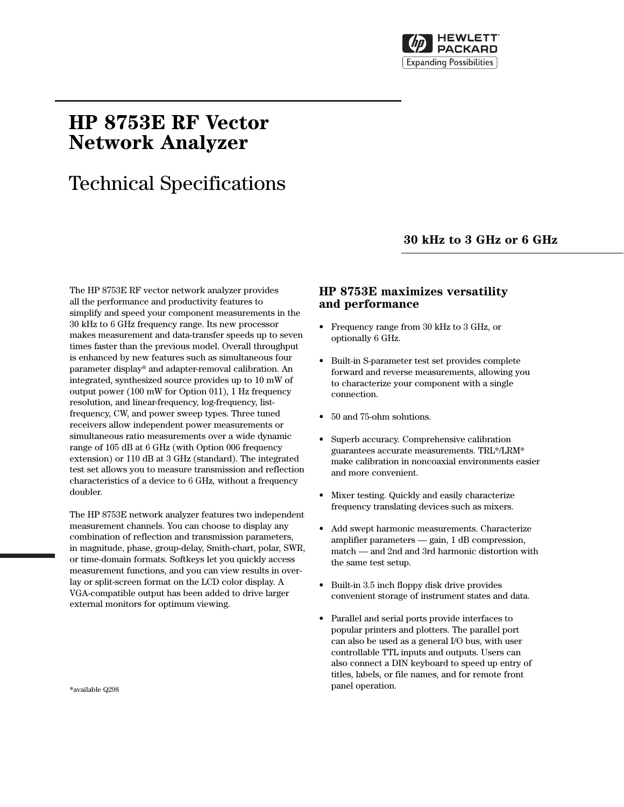

# **HP 8753E RF Vector Network Analyzer**

# Technical Specifications

**30 kHz to 3 GHz or 6 GHz**

The HP 8753E RF vector network analyzer provides all the performance and productivity features to simplify and speed your component measurements in the 30 kHz to 6 GHz frequency range. Its new processor makes measurement and data-transfer speeds up to seven times faster than the previous model. Overall throughput is enhanced by new features such as simultaneous four parameter display\* and adapter-removal calibration. An integrated, synthesized source provides up to 10 mW of output power (100 mW for Option 011), 1 Hz frequency resolution, and linear-frequency, log-frequency, listfrequency, CW, and power sweep types. Three tuned receivers allow independent power measurements or simultaneous ratio measurements over a wide dynamic range of 105 dB at 6 GHz (with Option 006 frequency extension) or 110 dB at 3 GHz (standard). The integrated test set allows you to measure transmission and reflection characteristics of a device to 6 GHz, without a frequency doubler.

The HP 8753E network analyzer features two independent measurement channels. You can choose to display any combination of reflection and transmission parameters, in magnitude, phase, group-delay, Smith-chart, polar, SWR, or time-domain formats. Softkeys let you quickly access measurement functions, and you can view results in overlay or split-screen format on the LCD color display. A VGA-compatible output has been added to drive larger external monitors for optimum viewing.

### **HP 8753E maximizes versatility and performance**

- Frequency range from 30 kHz to 3 GHz, or optionally 6 GHz.
- Built-in S-parameter test set provides complete forward and reverse measurements, allowing you to characterize your component with a single connection.
- 50 and 75-ohm solutions.
- Superb accuracy. Comprehensive calibration guarantees accurate measurements. TRL\*/LRM\* make calibration in noncoaxial environments easier and more convenient.
- Mixer testing. Quickly and easily characterize frequency translating devices such as mixers.
- Add swept harmonic measurements. Characterize amplifier parameters — gain, 1 dB compression, match — and 2nd and 3rd harmonic distortion with the same test setup.
- Built-in 3.5 inch floppy disk drive provides convenient storage of instrument states and data.
- Parallel and serial ports provide interfaces to popular printers and plotters. The parallel port can also be used as a general I/O bus, with user controllable TTL inputs and outputs. Users can also connect a DIN keyboard to speed up entry of titles, labels, or file names, and for remote front panel operation.

**\***available Q298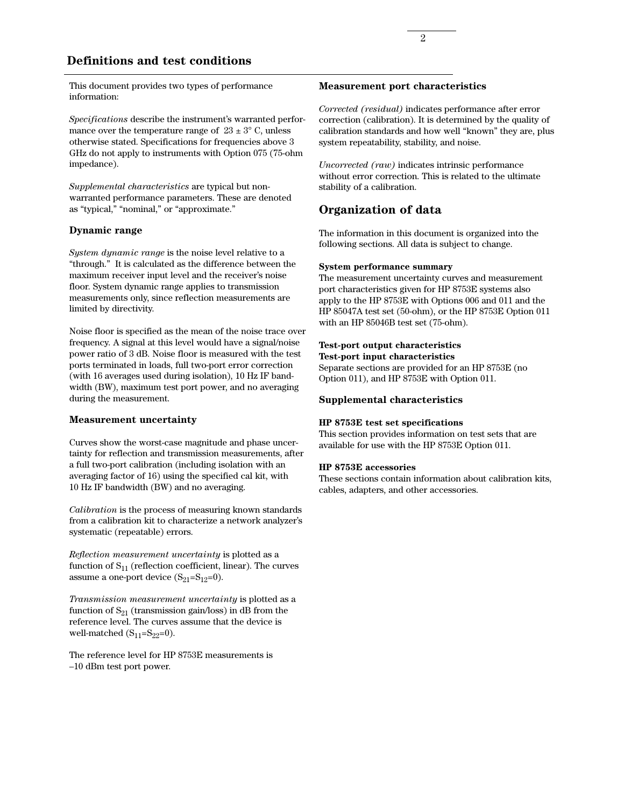### **Definitions and test conditions**

This document provides two types of performance information:

*Specifications* describe the instrument's warranted performance over the temperature range of  $23 \pm 3^{\circ}$  C, unless otherwise stated. Specifications for frequencies above 3 GHz do not apply to instruments with Option 075 (75-ohm impedance).

*Supplemental characteristics* are typical but nonwarranted performance parameters. These are denoted as "typical," "nominal," or "approximate."

### **Dynamic range**

*System dynamic range* is the noise level relative to a "through." It is calculated as the difference between the maximum receiver input level and the receiver's noise floor. System dynamic range applies to transmission measurements only, since reflection measurements are limited by directivity.

Noise floor is specified as the mean of the noise trace over frequency. A signal at this level would have a signal/noise power ratio of 3 dB. Noise floor is measured with the test ports terminated in loads, full two-port error correction (with 16 averages used during isolation), 10 Hz IF bandwidth (BW), maximum test port power, and no averaging during the measurement.

### **Measurement uncertainty**

Curves show the worst-case magnitude and phase uncertainty for reflection and transmission measurements, after a full two-port calibration (including isolation with an averaging factor of 16) using the specified cal kit, with 10 Hz IF bandwidth (BW) and no averaging.

*Calibration* is the process of measuring known standards from a calibration kit to characterize a network analyzer's systematic (repeatable) errors.

*Reflection measurement uncertainty* is plotted as a function of  $S_{11}$  (reflection coefficient, linear). The curves assume a one-port device  $(S_{21}=S_{12}=0)$ .

*Transmission measurement uncertainty* is plotted as a function of  $S_{21}$  (transmission gain/loss) in dB from the reference level. The curves assume that the device is well-matched  $(S_{11}=S_{22}=0)$ .

The reference level for HP 8753E measurements is –10 dBm test port power.

### **Measurement port characteristics**

*Corrected (residual)* indicates performance after error correction (calibration). It is determined by the quality of calibration standards and how well "known" they are, plus system repeatability, stability, and noise.

*Uncorrected (raw)* indicates intrinsic performance without error correction. This is related to the ultimate stability of a calibration.

### **Organization of data**

The information in this document is organized into the following sections. All data is subject to change.

### **System performance summary**

The measurement uncertainty curves and measurement port characteristics given for HP 8753E systems also apply to the HP 8753E with Options 006 and 011 and the HP 85047A test set (50-ohm), or the HP 8753E Option 011 with an HP 85046B test set (75-ohm).

### **Test-port output characteristics Test-port input characteristics**

Separate sections are provided for an HP 8753E (no Option 011), and HP 8753E with Option 011.

### **Supplemental characteristics**

### **HP 8753E test set specifications**

This section provides information on test sets that are available for use with the HP 8753E Option 011.

#### **HP 8753E accessories**

These sections contain information about calibration kits, cables, adapters, and other accessories.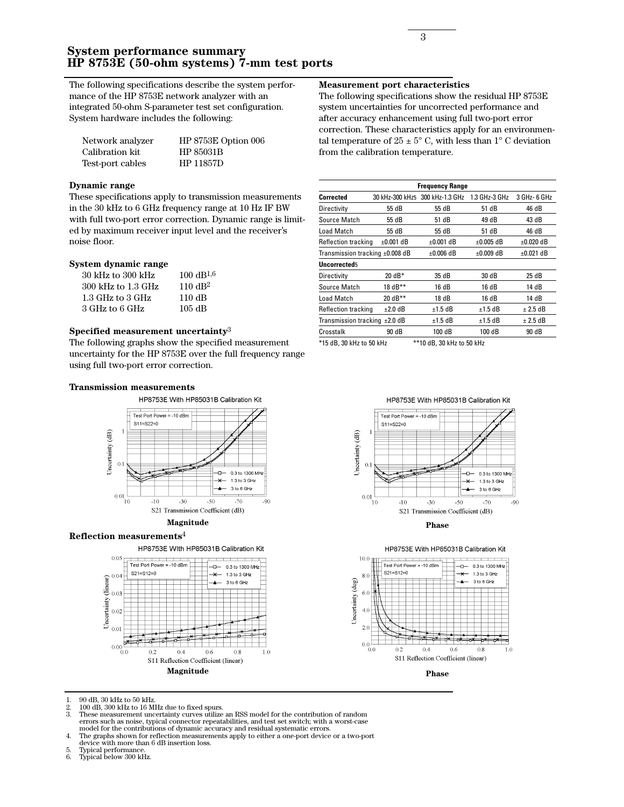### **System performance summary HP 8753E (50-ohm systems) 7-mm test ports**

The following specifications describe the system performance of the HP 8753E network analyzer with an integrated 50-ohm S-parameter test set configuration. System hardware includes the following:

| Network analyzer | HP 8753E Option 006 |
|------------------|---------------------|
| Calibration kit  | HP 85031B           |
| Test-port cables | <b>HP 11857D</b>    |

### **Dynamic range**

These specifications apply to transmission measurements in the 30 kHz to 6 GHz frequency range at 10 Hz IF BW with full two-port error correction. Dynamic range is limited by maximum receiver input level and the receiver's noise floor.

### **System dynamic range**

| 30 kHz to 300 kHz    | $100 \text{ dB}^{1,6}$ |
|----------------------|------------------------|
| 300 kHz to 1.3 GHz   | $110 \text{ dB}^2$     |
| $1.3$ GHz to $3$ GHz | 110 dB                 |
| 3 GHz to 6 GHz       | 105 dB                 |

### **Specified measurement uncertainty**3

The following graphs show the specified measurement uncertainty for the HP 8753E over the full frequency range using full two-port error correction.

### **Transmission measurements**



**Magnitude**

**Reflection measurements**4

HP8753E With HP85031B Calibration Kit



### **Measurement port characteristics**

The following specifications show the residual HP 8753E system uncertainties for uncorrected performance and after accuracy enhancement using full two-port error correction. These characteristics apply for an environmental temperature of  $25 \pm 5^{\circ}$  C, with less than 1° C deviation from the calibration temperature.

| <b>Frequency Range</b>                                |                 |                 |                |                |
|-------------------------------------------------------|-----------------|-----------------|----------------|----------------|
| <b>Corrected</b>                                      | 30 kHz-300 kHz5 | 300 kHz-1.3 GHz | 1.3 GHz-3 GHz  | 3 GHz- 6 GHz   |
| Directivity                                           | 55 dB           | 55 dB           | 51 dB          | 46 dB          |
| Source Match                                          | 55 dB           | 51 dB           | 49 dB          | 43 dB          |
| Load Match                                            | 55 dB           | 55 dB           | 51 dB          | 46 dB          |
| <b>Reflection tracking</b>                            | $\pm 0.001$ dB  | $±0.001$ dB     | $+0.005$ dB    | $+0.020$ dB    |
| Transmission tracking $\pm 0.008$ dB                  |                 | $\pm 0.006$ dB  | $\pm 0.009$ dB | $\pm 0.021$ dB |
| Uncorrected5                                          |                 |                 |                |                |
| Directivity                                           | 20 dB $*$       | 35 dB           | 30 dB          | 25 dB          |
| Source Match                                          | 18 dB**         | 16 dB           | 16 dB          | 14 dB          |
| <b>Load Match</b>                                     | 20 dB**         | 18 dB           | 16 dB          | 14 dB          |
| <b>Reflection tracking</b>                            | $+2.0$ dB       | ±1.5 dB         | $+1.5$ dB      | ± 2.5 dB       |
| Transmission tracking $\pm 2.0$ dB                    |                 | $±1.5$ dB       | $\pm 1.5$ dB   | ± 2.5 dB       |
| Crosstalk                                             | 90 dB           | 100dB           | 100dB          | 90 dB          |
| *15 dB, 30 kHz to 50 kHz<br>**10 dB, 30 kHz to 50 kHz |                 |                 |                |                |



#### **Phase**

HP8753E With HP85031B Calibration Kit



**Phase**

- 1. 90 dB, 30 kHz to 50 kHz.
- 2. 100 dB, 300 kHz to 16 MHz due to fixed spurs.<br>3. These measurement uncertainty curves utilize
- 3. These measurement uncertainty curves utilize an RSS model for the contribution of random errors such as noise, typical connector repeatabilities, and test set switch; with a worst-case model for the contributions of dynamic accuracy and residual systematic errors.
- 4. The graphs shown for reflection measurements apply to either a one-port device or a two-port device with more than 6 dB insertion loss.
- 5. Typical performance. 6. Typical below 300 kHz.
-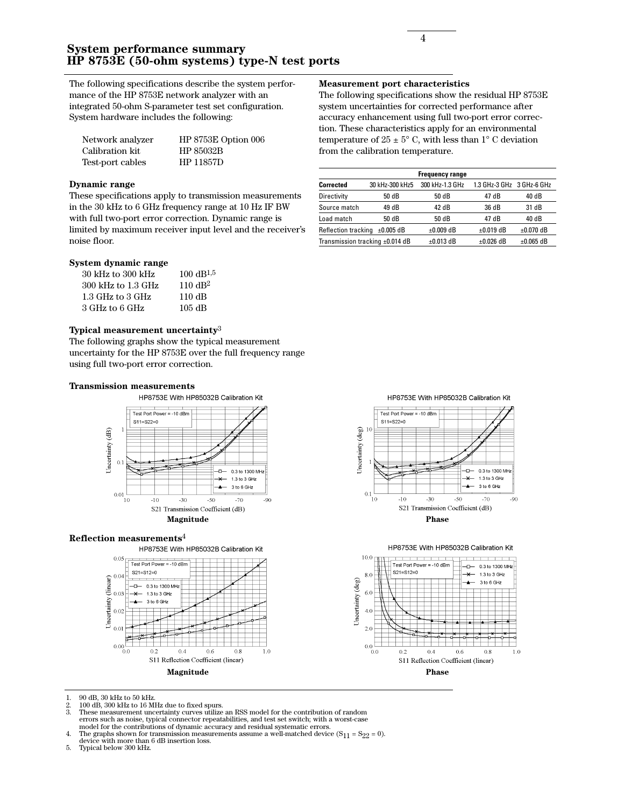The following specifications describe the system performance of the HP 8753E network analyzer with an integrated 50-ohm S-parameter test set configuration. System hardware includes the following:

| Network analyzer | HP 8753E Option 006 |
|------------------|---------------------|
| Calibration kit  | HP 85032B           |
| Test-port cables | <b>HP 11857D</b>    |

### **Dynamic range**

These specifications apply to transmission measurements in the 30 kHz to 6 GHz frequency range at 10 Hz IF BW with full two-port error correction. Dynamic range is limited by maximum receiver input level and the receiver's noise floor.

### **System dynamic range**

| 30 kHz to 300 kHz      | $100 \text{ dB}^{1,5}$ |
|------------------------|------------------------|
| $300$ kHz to $1.3$ GHz | $110 \text{ dB}^2$     |
| $1.3$ GHz to $3$ GHz   | 110 dB                 |
| 3 GHz to 6 GHz         | 105 dB                 |

### **Typical measurement uncertainty**3

The following graphs show the typical measurement uncertainty for the HP 8753E over the full frequency range using full two-port error correction.





### **Reflection measurements**4

HP8753E With HP85032B Calibration Kit



**Measurement port characteristics**

The following specifications show the residual HP 8753E system uncertainties for corrected performance after accuracy enhancement using full two-port error correction. These characteristics apply for an environmental temperature of  $25 \pm 5^{\circ}$  C, with less than 1° C deviation from the calibration temperature.

| <b>Frequency range</b>             |                                      |                 |                           |                |
|------------------------------------|--------------------------------------|-----------------|---------------------------|----------------|
| <b>Corrected</b>                   | 30 kHz-300 kHz5                      | 300 kHz-1.3 GHz | 1.3 GHz-3 GHz 3 GHz-6 GHz |                |
| Directivity                        | 50 dB                                | 50 dB           | 47 dB                     | 40 dB          |
| Source match                       | 49 dB                                | 42 dB           | 36 dB                     | 31 dB          |
| Load match                         | 50 dB                                | 50 dB           | 47 dB                     | 40 dB          |
| Reflection tracking $\pm 0.005$ dB |                                      | $\pm 0.009$ dB  | $\pm 0.019$ dB            | $\pm 0.070$ dB |
|                                    | Transmission tracking $\pm 0.014$ dB | $\pm 0.013$ dB  | $+0.026$ dB               | $\pm 0.065$ dB |



HP8753E With HP85032B Calibration Kit



1. 90 dB, 30 kHz to 50 kHz<br>2. 100 dB, 300 kHz to 16 M<br>3. These measurement und

2. 100 dB, 300 kHz to 16 MHz due to fixed spurs.

- 3. These measurement uncertainty curves utilize an RSS model for the contribution of random errors such as noise, typical connector repeatabilities, and test set switch; with a worst-case model for the contributions of dynamic accuracy and residual systematic errors.
- 4. The graphs shown for transmission measurements assume a well-matched device  $(S_{11} = S_{22} = 0)$ . device with more than 6 dB insertion loss.

5. Typical below 300 kHz.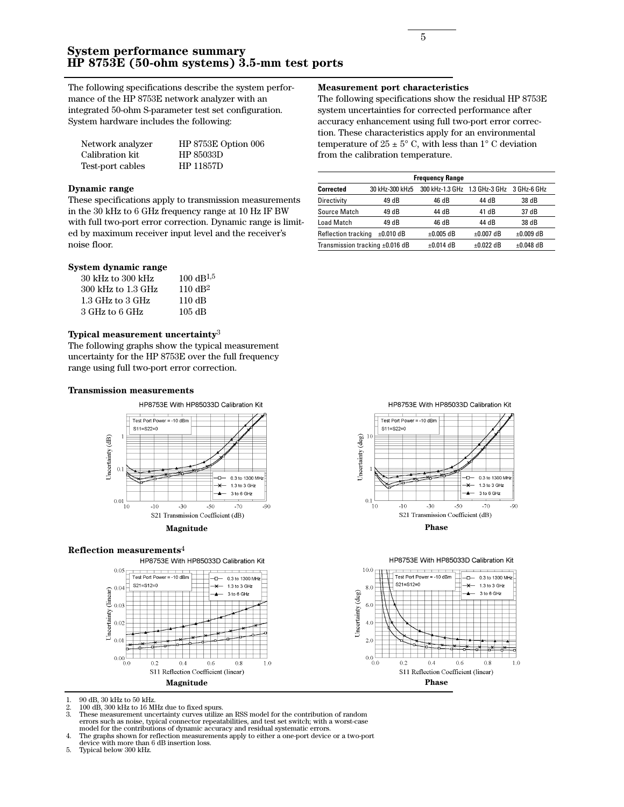### **System performance summary HP 8753E (50-ohm systems) 3.5-mm test ports**

The following specifications describe the system performance of the HP 8753E network analyzer with an integrated 50-ohm S-parameter test set configuration. System hardware includes the following:

| Network analyzer | HP 8753E Option 006 |
|------------------|---------------------|
| Calibration kit  | HP 85033D           |
| Test-port cables | <b>HP 11857D</b>    |

### **Dynamic range**

These specifications apply to transmission measurements in the 30 kHz to 6 GHz frequency range at 10 Hz IF BW with full two-port error correction. Dynamic range is limited by maximum receiver input level and the receiver's noise floor.

### **System dynamic range**

| 30 kHz to 300 kHz  | $100 \text{ dB}^{1,5}$ |
|--------------------|------------------------|
| 300 kHz to 1.3 GHz | $110 \text{ dB}^2$     |
| 1.3 GHz to 3 GHz   | 110 dB                 |
| 3 GHz to 6 GHz     | 105 dB                 |

### **Typical measurement uncertainty**3

The following graphs show the typical measurement uncertainty for the HP 8753E over the full frequency range using full two-port error correction.

#### **Transmission measurements**





#### **Reflection measurements**4

HP8753E With HP85033D Calibration Kit



1. 90 dB, 30 kHz to 50 kHz.

2. 100 dB, 300 kHz to 16 MHz due to fixed spurs.<br>3. These measurement uncertainty curves utilize

- 3. These measurement uncertainty curves utilize an RSS model for the contribution of random errors such as noise, typical connector repeatabilities, and test set switch; with a worst-case model for the contributions of dynamic accuracy and residual systematic errors.
- 4. The graphs shown for reflection measurements apply to either a one-port device or a two-port device with more than 6 dB insertion loss.

5. Typical below 300 kHz.

### **Measurement port characteristics**

The following specifications show the residual HP 8753E system uncertainties for corrected performance after accuracy enhancement using full two-port error correction. These characteristics apply for an environmental temperature of  $25 \pm 5^{\circ}$  C, with less than 1° C deviation from the calibration temperature.

| <b>Frequency Range</b>               |                 |                                           |                |                |
|--------------------------------------|-----------------|-------------------------------------------|----------------|----------------|
| <b>Corrected</b>                     | 30 kHz-300 kHz5 | 300 kHz-1.3 GHz 1.3 GHz-3 GHz 3 GHz-6 GHz |                |                |
| Directivity                          | 49 dB           | 46 dB                                     | 44 dB          | 38 dB          |
| Source Match                         | 49 dB           | 44 dB                                     | 41 dB          | 37 dB          |
| <b>Load Match</b>                    | 49 dB           | 46 dB                                     | 44 dB          | 38 dB          |
| <b>Reflection tracking</b>           | $\pm 0.010$ dB  | $\pm 0.005$ dB                            | $\pm 0.007$ dB | $\pm 0.009$ dB |
| Transmission tracking $\pm 0.016$ dB |                 | $+0.014$ dB                               | $+0.022$ dB    | $\pm 0.048$ dB |



HP8753E With HP85033D Calibration Kit

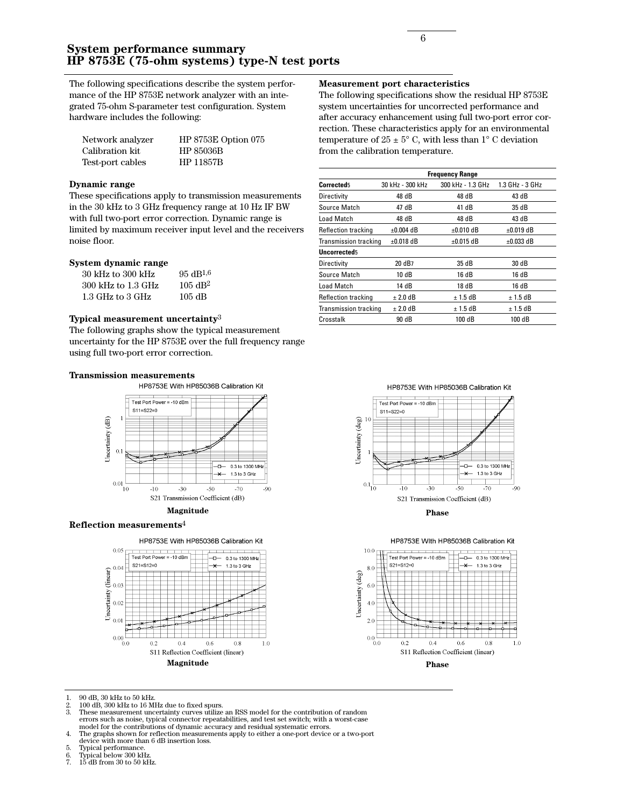The following specifications describe the system performance of the HP 8753E network analyzer with an integrated 75-ohm S-parameter test configuration. System hardware includes the following:

| Network analyzer | HP 8753E Option 075 |
|------------------|---------------------|
| Calibration kit  | HP 85036B           |
| Test-port cables | HP 11857B           |

### **Dynamic range**

These specifications apply to transmission measurements in the 30 kHz to 3 GHz frequency range at 10 Hz IF BW with full two-port error correction. Dynamic range is limited by maximum receiver input level and the receivers noise floor.

### **System dynamic range**

| 30 kHz to 300 kHz      | $95 \text{ dB}^{1,6}$ |
|------------------------|-----------------------|
| $300$ kHz to $1.3$ GHz | $105 \text{ dB}^2$    |
| $1.3$ GHz to $3$ GHz   | 105 dB                |

### **Typical measurement uncertainty**3

The following graphs show the typical measurement uncertainty for the HP 8753E over the full frequency range using full two-port error correction.



**Magnitude**

#### **Reflection measurements**4





**Measurement port characteristics**

The following specifications show the residual HP 8753E system uncertainties for uncorrected performance and after accuracy enhancement using full two-port error correction. These characteristics apply for an environmental temperature of  $25 \pm 5^{\circ}$  C, with less than 1° C deviation from the calibration temperature.

|                              | <b>Frequency Range</b> |                   |                 |  |
|------------------------------|------------------------|-------------------|-----------------|--|
| Corrected <sub>5</sub>       | 30 kHz - 300 kHz       | 300 kHz - 1.3 GHz | 1.3 GHz - 3 GHz |  |
| Directivity                  | 48 dB                  | 48 dB             | 43 dB           |  |
| Source Match                 | 47 dB                  | 41 dB             | 35 dB           |  |
| Load Match                   | 48 dB                  | 48 dB             | 43 dB           |  |
| <b>Reflection tracking</b>   | $+0.004$ dB            | $+0.010$ dB       | $+0.019$ dB     |  |
| <b>Transmission tracking</b> | $\pm 0.018$ dB         | $\pm 0.015$ dB    | $\pm 0.033$ dB  |  |
| Uncorrected5                 |                        |                   |                 |  |
| Directivity                  | 20 dB7                 | 35 dB             | 30 dB           |  |
| Source Match                 | 10 dB                  | 16 dB             | 16 dB           |  |
| Load Match                   | 14 dB                  | 18 dB             | 16 dB           |  |
| <b>Reflection tracking</b>   | ± 2.0 dB               | $+1.5$ dB         | ± 1.5 dB        |  |
| <b>Transmission tracking</b> | $± 2.0$ dB             | $± 1.5$ dB        | $± 1.5$ dB      |  |
| Crosstalk                    | 90 dB                  | 100 dB            | 100 dB          |  |

HP8753E With HP85036B Calibration Kit









1. 90 dB, 30 kHz to 50 kHz<br>2. 100 dB, 300 kHz to 16 M<br>3. These measurement und

2. 100 dB, 300 kHz to 16 MHz due to fixed spurs.

- 3. These measurement uncertainty curves utilize an RSS model for the contribution of random errors such as noise, typical connector repeatabilities, and test set switch; with a worst-case model for the contributions of dynamic accuracy and residual systematic errors.
- 4. The graphs shown for reflection measurements apply to either a one-port device or a two-port device with more than 6 dB insertion loss.
- 5. Typical performance. 6. Typical below 300 kHz.
- 6. Typical below  $300 \text{ kHz}$ .<br>7. 15 dB from  $30 \text{ to } 50 \text{ kHz}$ .
-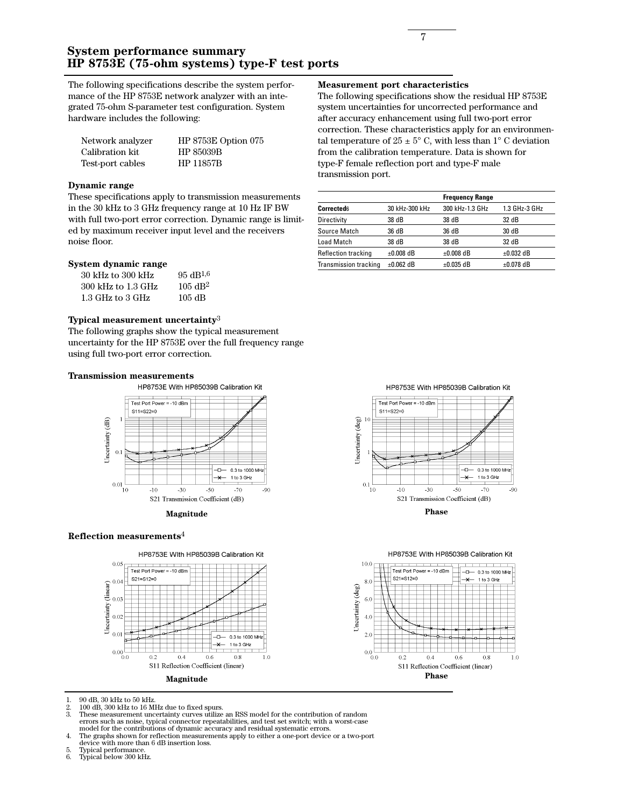The following specifications describe the system performance of the HP 8753E network analyzer with an integrated 75-ohm S-parameter test configuration. System hardware includes the following:

| Network analyzer | HP 8753E Option 075 |
|------------------|---------------------|
| Calibration kit  | HP 85039B           |
| Test-port cables | HP 11857B           |

### **Dynamic range**

These specifications apply to transmission measurements in the 30 kHz to 3 GHz frequency range at 10 Hz IF BW with full two-port error correction. Dynamic range is limited by maximum receiver input level and the receivers noise floor.

### **System dynamic range**

| 30 kHz to 300 kHz  | $95$ dB <sup>1,6</sup> |
|--------------------|------------------------|
| 300 kHz to 1.3 GHz | $105$ dB <sup>2</sup>  |
| 1.3 GHz to 3 GHz   | 105 dB                 |

### **Typical measurement uncertainty**3

The following graphs show the typical measurement uncertainty for the HP 8753E over the full frequency range using full two-port error correction.



**Magnitude**

### **Reflection measurements**4





1. 90 dB, 30 kHz to 50 kHz.

- 2. 100 dB, 300 kHz to 16 MHz due to fixed spurs.<br>3. These measurement uncertainty curves utilize
- 3. These measurement uncertainty curves utilize an RSS model for the contribution of random errors such as noise, typical connector repeatabilities, and test set switch; with a worst-case model for the contributions of dynamic accuracy and residual systematic errors.
- 4. The graphs shown for reflection measurements apply to either a one-port device or a two-port device with more than 6 dB insertion loss.
- 5. Typical performance. 6. Typical below 300 kHz.
- 

### **Measurement port characteristics**

The following specifications show the residual HP 8753E system uncertainties for uncorrected performance and after accuracy enhancement using full two-port error correction. These characteristics apply for an environmental temperature of  $25 \pm 5^{\circ}$  C, with less than 1° C deviation from the calibration temperature. Data is shown for type-F female reflection port and type-F male transmission port.

|                | <b>Frequency Range</b> |                |
|----------------|------------------------|----------------|
| 30 kHz-300 kHz | 300 kHz-1.3 GHz        | 1.3 GHz-3 GHz  |
| 38 dB          | 38 dB                  | 32 dB          |
| 36 dB          | 36 dB                  | 30 dB          |
| 38 dB          | 38 dB                  | 32 dB          |
| $\pm 0.008$ dB | $\pm 0.008$ dB         | $+0.032$ dB    |
| $\pm 0.062$ dB | $\pm 0.035$ dB         | $\pm 0.078$ dB |
|                |                        |                |

HP8753E With HP85039B Calibration Kit



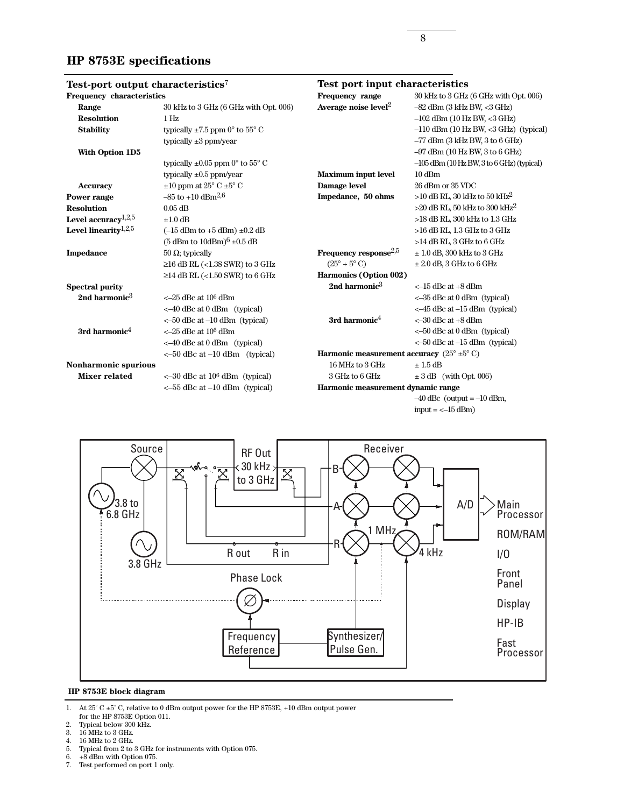### **HP 8753E specifications**

| Test-port output characteristics <sup>7</sup> |                                                          | Test port input characteristics                              |                                                   |
|-----------------------------------------------|----------------------------------------------------------|--------------------------------------------------------------|---------------------------------------------------|
| <b>Frequency characteristics</b>              |                                                          | Frequency range                                              | 30 kHz to 3 GHz (6 GHz with Opt. 006)             |
| Range                                         | 30 kHz to 3 GHz (6 GHz with Opt. 006)                    | Average noise level <sup>2</sup>                             | $-82$ dBm $(3$ kHz BW, $<$ 3 GHz)                 |
| <b>Resolution</b>                             | $1$ Hz                                                   |                                                              | $-102$ dBm (10 Hz BW, <3 GHz)                     |
| <b>Stability</b>                              | typically $\pm 7.5$ ppm 0° to 55° C                      |                                                              | $-110$ dBm (10 Hz BW, <3 GHz) (typical)           |
|                                               | typically $\pm 3$ ppm/year                               |                                                              | $-77$ dBm $(3$ kHz BW, $3$ to $6$ GHz)            |
| With Option 1D5                               |                                                          |                                                              | $-97$ dBm (10 Hz BW, 3 to 6 GHz)                  |
|                                               | typically $\pm 0.05$ ppm 0° to 55° C                     |                                                              | $-105$ dBm $(10$ Hz BW, $3$ to $6$ GHz) (typical) |
|                                               | typically $\pm 0.5$ ppm/year                             | <b>Maximum input level</b>                                   | $10$ dBm                                          |
| <b>Accuracy</b>                               | $\pm 10$ ppm at 25° C $\pm 5$ ° C                        | Damage level                                                 | 26 dBm or 35 VDC                                  |
| Power range                                   | $-85$ to $+10$ dBm <sup>2,6</sup>                        | Impedance, 50 ohms                                           | $>$ 10 dB RL, 30 kHz to 50 kHz <sup>2</sup>       |
| <b>Resolution</b>                             | $0.05$ dB                                                |                                                              | $>$ 20 dB RL, 50 kHz to 300 kHz <sup>2</sup>      |
| Level accuracy $^{1,2,5}$                     | $\pm 1.0$ dB                                             |                                                              | $>18$ dB RL, $300$ kHz to $1.3$ GHz               |
| Level linearity $1,2,5$                       | $(-15$ dBm to $+5$ dBm) $\pm 0.2$ dB                     |                                                              | $>16$ dB RL, 1.3 GHz to 3 GHz                     |
|                                               | $(5 \text{ dBm to } 10 \text{dBm})^6 \pm 0.5 \text{ dB}$ |                                                              | $>14$ dB RL, $3$ GHz to $6$ GHz                   |
| Impedance                                     | 50 $\Omega$ ; typically                                  | Frequency response <sup>2,5</sup>                            | $\pm$ 1.0 dB, 300 kHz to 3 GHz                    |
|                                               | $\geq$ 16 dB RL (<1.38 SWR) to 3 GHz                     | $(25^{\circ} + 5^{\circ} C)$                                 | $\pm 2.0$ dB, 3 GHz to 6 GHz                      |
|                                               | $\geq$ 14 dB RL (<1.50 SWR) to 6 GHz                     | Harmonics (Option 002)                                       |                                                   |
| <b>Spectral purity</b>                        |                                                          | 2nd harmonic <sup>3</sup>                                    | $<-15$ dBc at $+8$ dBm                            |
| 2nd harmonic <sup>3</sup>                     | $<-25$ dBc at $10^6$ dBm                                 |                                                              | $\epsilon$ -35 dBc at 0 dBm (typical)             |
|                                               | $\epsilon$ -40 dBc at 0 dBm (typical)                    |                                                              | $\epsilon$ -45 dBc at -15 dBm (typical)           |
|                                               | $<-50$ dBc at $-10$ dBm (typical)                        | 3rd harmonic $4$                                             | $<-30$ dBc at $+8$ dBm                            |
| 3rd harmonic <sup>4</sup>                     | $<-25$ dBc at $10^6$ dBm                                 |                                                              | $<-50$ dBc at 0 dBm (typical)                     |
|                                               | $\epsilon$ –40 dBc at 0 dBm (typical)                    |                                                              | $<-50$ dBc at $-15$ dBm (typical)                 |
|                                               | $<-50$ dBc at $-10$ dBm (typical)                        | Harmonic measurement accuracy $(25^{\circ} \pm 5^{\circ} C)$ |                                                   |
| Nonharmonic spurious                          |                                                          | 16 MHz to 3 GHz                                              | $\pm 1.5$ dB                                      |
| <b>Mixer related</b>                          | $<-30$ dBc at $106$ dBm (typical)                        | 3 GHz to 6 GHz                                               | $\pm 3$ dB (with Opt. 006)                        |
|                                               | $<-55$ dBc at $-10$ dBm (typical)                        | Harmonic measurement dynamic range                           |                                                   |
|                                               |                                                          |                                                              | $-40$ dBc (output = $-10$ dBm,                    |

 $input = < -15$  dBm $)$ 



### **HP 8753E block diagram**

1. At  $25^{\circ}$  C  $\pm 5^{\circ}$  C, relative to 0 dBm output power for the HP 8753E, +10 dBm output power

- for the HP 8753E Option 011.
- 2. Typical below 300 kHz.
- 3. 16 MHz to 3 GHz.
- 4. 16 MHz to 2 GHz.
- 5. Typical from 2 to 3 GHz for instruments with Option 075.
- 6. +8 dBm with Option 075.
- 7. Test performed on port 1 only.

8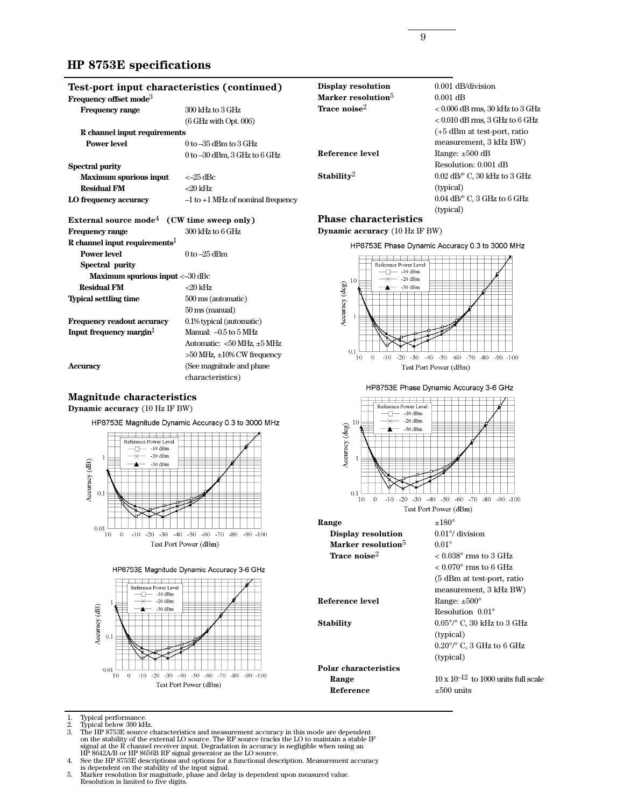### **HP 8753E specifications**

| Test-port input characteristics (continued)            |                                       | <b>Display resolution</b>      | $0.001$ dB/division                                          |
|--------------------------------------------------------|---------------------------------------|--------------------------------|--------------------------------------------------------------|
| Frequency offset mode <sup>3</sup>                     |                                       | Marker resolution <sup>5</sup> | $0.001$ dB                                                   |
| <b>Frequency range</b>                                 | 300 kHz to 3 GHz                      | Trace noise $2$                | $< 0.006$ dB rms, 30 kHz to 3                                |
|                                                        | $(6$ GHz with Opt. $006$ )            |                                | $< 0.010$ dB rms, 3 GHz to 6 0                               |
| R channel input requirements                           |                                       |                                | $(+5$ dBm at test-port, ratio                                |
| <b>Power level</b>                                     | $0$ to $-35$ dBm to $3$ GHz           |                                | measurement, 3 kHz BW)                                       |
|                                                        | $0$ to $-30$ dBm, $3$ GHz to $6$ GHz  | Reference level                | Range: $\pm 500$ dB                                          |
| <b>Spectral purity</b>                                 |                                       |                                | Resolution: 0.001 dB                                         |
| <b>Maximum spurious input</b>                          | $<-25$ dBc                            | Stability <sup>2</sup>         | $0.02$ dB/ $\degree$ C, 30 kHz to 3 GH                       |
| <b>Residual FM</b>                                     | $<$ 20 kHz                            |                                | (typical)                                                    |
| LO frequency accuracy                                  | $-1$ to $+1$ MHz of nominal frequency |                                | $0.04$ dB/ $\degree$ C, 3 GHz to 6 GHz                       |
|                                                        |                                       |                                | (typical)                                                    |
| External source mode <sup>4</sup> (CW time sweep only) |                                       | <b>Phase characteristics</b>   |                                                              |
| <b>Frequency range</b>                                 | 300 kHz to 6 GHz                      | Dynamic accuracy (10 Hz IF BW) |                                                              |
| R channel input requirements                           |                                       |                                | HP8753E Phase Dynamic Accuracy 0.3 to 3000 MHz               |
| <b>Power level</b>                                     | $0$ to $-25$ dBm                      |                                |                                                              |
| Spectral purity                                        |                                       | Reference Power Level          |                                                              |
| Maximum spurious input <-30 dBc                        |                                       | $-10$ dBm<br>$-20$ dBm<br>-10  |                                                              |
| <b>Residual FM</b>                                     | $<$ 20 kHz                            | $-30$ dBm                      |                                                              |
| <b>Typical settling time</b>                           | 500 ms (automatic)                    | Accuracy (deg)                 |                                                              |
|                                                        | 50 ms (manual)                        |                                |                                                              |
| <b>Frequency readout accuracy</b>                      | 0.1% typical (automatic)              |                                |                                                              |
| Input frequency margin                                 | Manual: -0.5 to 5 MHz                 |                                |                                                              |
|                                                        | Automatic: $<50$ MHz, $\pm 5$ MHz     |                                |                                                              |
|                                                        | $>50$ MHz, $\pm 10\%$ CW frequency    | 0.1<br>$\theta$<br>10          | $-10$ $-20$ $-30$ $-40$ $-50$ $-60$ $-70$ $-80$ $-90$ $-100$ |
| Accuracy                                               | (See magnitude and phase)             |                                | Test Port Power (dBm)                                        |
|                                                        | characteristics)                      |                                |                                                              |

### **Magnitude characteristics Dynamic accuracy** (10 Hz IF BW)

HP8753E Magnitude Dynamic Accuracy 0.3 to 3000 MHz









HP8753E Phase Dynamic Accuracy 3-6 GHz



Test Port Power (dBm)

**Range** ±180°

**Display resolution** 0.01°/ division **Marker resolution**<sup>5</sup> 0.01° **Trace noise**<sup>2</sup>  $\leq 0.038$ ° rms to 3 GHz

**Reference level** Range:  $\pm 500^\circ$ 

**Stability** 0.05°/° C, 30 kHz to 3 GHz

**Polar characteristics**

(typical)  $0.20^{\circ}$  C,  $3$  GHz to  $6$  GHz (typical)

Resolution 0.01°

 $< 0.070^{\circ}$  rms to  $6$  GHz (5 dBm at test-port, ratio measurement, 3 kHz BW)

**Range** 10 x 10<sup>-12</sup> to 1000 units full scale **Reference**  $\pm 500$  units

- 1. Typical performance.<br>2. Typical below 300 kH<br>3. The HP 8753E source
- 2. Typical below 300 kHz. 3. The HP 8753E source characteristics and measurement accuracy in this mode are dependent on the stability of the external LO source. The RF source tracks the LO to maintain a stable IF signal at the R channel receiver input. Degradation in accuracy is negligible when using an<br>HP 8642A/B or HP 8656B RF signal generator as the LO source.<br>4. See the HP 8753E descriptions and options for a functional descr
- 
- is dependent on the stability of the input signal. 5. Marker resolution for magnitude, phase and delay is dependent upon measured value. Resolution is limited to five digits.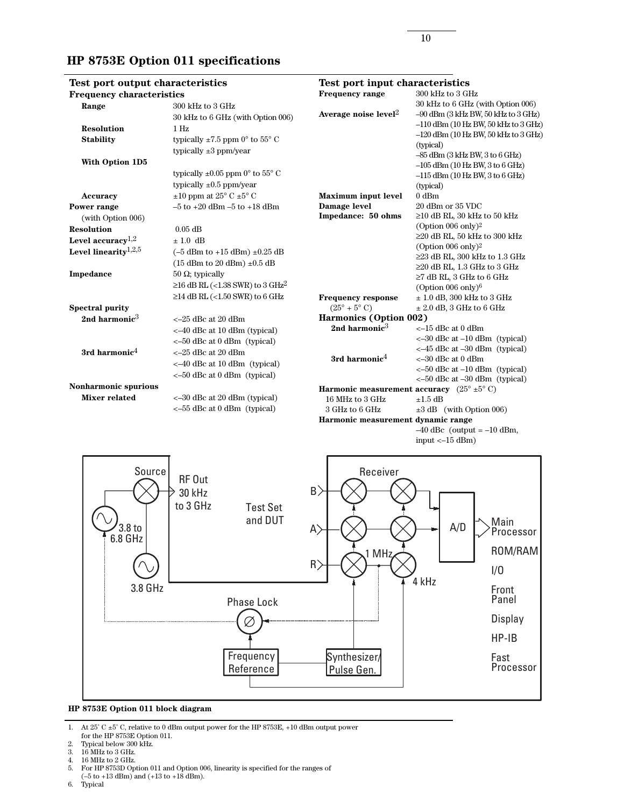### **HP 8753E Option 011 specifications**

| Test port output characteristics |                                                   | <b>Test port input characteristics</b>     |                                                              |  |
|----------------------------------|---------------------------------------------------|--------------------------------------------|--------------------------------------------------------------|--|
| <b>Frequency characteristics</b> |                                                   | <b>Frequency range</b>                     | 300 kHz to 3 GHz                                             |  |
| Range                            | 300 kHz to 3 GHz                                  |                                            | 30 kHz to 6 GHz (with Option 006)                            |  |
|                                  | 30 kHz to 6 GHz (with Option 006)                 | Average noise level <sup>2</sup>           | $-90$ dBm $(3$ kHz BW, $50$ kHz to $3$ GHz)                  |  |
| <b>Resolution</b>                | 1 <sub>Hz</sub>                                   |                                            | $-110$ dBm (10 Hz BW, 50 kHz to 3 GHz)                       |  |
| <b>Stability</b>                 | typically $\pm 7.5$ ppm 0° to 55° C               |                                            | $-120$ dBm (10 Hz BW, 50 kHz to $3$ GHz)                     |  |
|                                  | typically $\pm 3$ ppm/year                        |                                            | (typical)                                                    |  |
| With Option 1D5                  |                                                   |                                            | $-85$ dBm $(3$ kHz BW, $3$ to $6$ GHz)                       |  |
|                                  | typically $\pm 0.05$ ppm 0° to 55° C              |                                            | $-105$ dBm (10 Hz BW, 3 to 6 GHz)                            |  |
|                                  | typically $\pm 0.5$ ppm/year                      |                                            | $-115$ dBm (10 Hz BW, 3 to 6 GHz)                            |  |
|                                  |                                                   |                                            | (typical)<br>$0$ dBm                                         |  |
| Accuracy                         | $\pm 10$ ppm at 25° C $\pm 5$ ° C                 | <b>Maximum input level</b><br>Damage level | 20 dBm or 35 VDC                                             |  |
| Power range                      | $-5$ to $+20$ dBm $-5$ to $+18$ dBm               | Impedance: 50 ohms                         | $\geq$ 10 dB RL, 30 kHz to 50 kHz                            |  |
| (with Option 006)                |                                                   |                                            | (Option 006 only) <sup>2</sup>                               |  |
| <b>Resolution</b>                | $0.05$ dB                                         |                                            | $\geq$ 20 dB RL, 50 kHz to 300 kHz                           |  |
| Level $\text{accuracy}^{1,2}$    | $\pm 1.0$ dB                                      |                                            | (Option $006$ only) <sup>2</sup>                             |  |
| Level linearity <sup>1,2,5</sup> | $(-5$ dBm to $+15$ dBm) $\pm 0.25$ dB             |                                            | $\geq\!\!23$ dB RL, 300 kHz to 1.3 GHz                       |  |
|                                  | $(15$ dBm to 20 dBm) $\pm 0.5$ dB                 |                                            | $\geq$ 20 dB RL, 1.3 GHz to 3 GHz                            |  |
| Impedance                        | 50 $\Omega$ ; typically                           |                                            | $\geq$ 7 dB RL, 3 GHz to 6 GHz                               |  |
|                                  | $\geq$ 16 dB RL (<1.38 SWR) to 3 GHz <sup>2</sup> |                                            | (Option $006$ only) <sup>6</sup>                             |  |
|                                  | $\geq$ 14 dB RL (<1.50 SWR) to 6 GHz              | <b>Frequency response</b>                  | $\pm$ 1.0 dB, 300 kHz to 3 GHz                               |  |
| <b>Spectral purity</b>           |                                                   | $(25^{\circ} + 5^{\circ} C)$               | $\pm$ 2.0 dB, 3 GHz to 6 GHz                                 |  |
| 2nd harmonic <sup>3</sup>        | $<-25$ dBc at 20 dBm                              | Harmonics (Option 002)                     |                                                              |  |
|                                  | $<-40$ dBc at 10 dBm (typical)                    | 2nd harmonic $3$                           | $<-15$ dBc at 0 dBm                                          |  |
|                                  | $<-50$ dBc at 0 dBm (typical)                     |                                            | $<-30$ dBc at $-10$ dBm (typical)                            |  |
| 3rd harmonic $4$                 | $<-25$ dBc at 20 dBm                              |                                            | $<-45$ dBc at $-30$ dBm (typical)                            |  |
|                                  | <-40 dBc at 10 dBm (typical)                      | 3rd harmonic $4$                           | $<-30$ dBc at 0 dBm                                          |  |
|                                  | $<-50$ dBc at 0 dBm (typical)                     |                                            | $\epsilon$ –50 dBc at –10 dBm (typical)                      |  |
|                                  |                                                   |                                            | $<-50$ dBc at $-30$ dBm (typical)                            |  |
| Nonharmonic spurious             |                                                   |                                            | Harmonic measurement accuracy $(25^{\circ} \pm 5^{\circ} C)$ |  |
| <b>Mixer related</b>             | $<-30$ dBc at 20 dBm (typical)                    | 16 MHz to 3 GHz                            | $\pm 1.5$ dB                                                 |  |
|                                  | $\epsilon$ -55 dBc at 0 dBm (typical)             | 3 GHz to 6 GHz                             | $\pm 3$ dB (with Option 006)                                 |  |
|                                  |                                                   | Harmonic measurement dynamic range         |                                                              |  |





### **HP 8753E Option 011 block diagram**

1. At  $25^{\circ}$  C  $\pm 5^{\circ}$  C, relative to 0 dBm output power for the HP 8753E, +10 dBm output power for the HP 8753E Option 011.

- 2. Typical below 300 kHz.
- 3. 16 MHz to 3 GHz.
- 4. 16 MHz to 2 GHz.

(–5 to +13 dBm) and (+13 to +18 dBm).

<sup>5.</sup> For HP 8753D Option 011 and Option 006, linearity is specified for the ranges of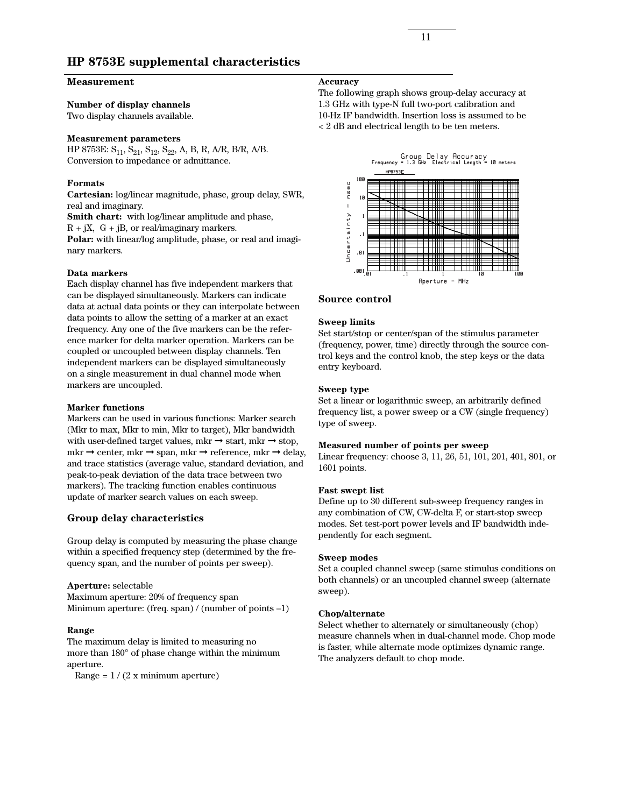### **Measurement**

### **Number of display channels**

Two display channels available.

#### **Measurement parameters**

HP 8753E:  $S_{11}$ ,  $S_{21}$ ,  $S_{12}$ ,  $S_{22}$ , A, B, R, A/R, B/R, A/B. Conversion to impedance or admittance.

### **Formats**

**Cartesian:** log/linear magnitude, phase, group delay, SWR, real and imaginary.

**Smith chart:** with log/linear amplitude and phase,

 $R + jX$ ,  $G + jB$ , or real/imaginary markers.

**Polar:** with linear/log amplitude, phase, or real and imaginary markers.

### **Data markers**

Each display channel has five independent markers that can be displayed simultaneously. Markers can indicate data at actual data points or they can interpolate between data points to allow the setting of a marker at an exact frequency. Any one of the five markers can be the reference marker for delta marker operation. Markers can be coupled or uncoupled between display channels. Ten independent markers can be displayed simultaneously on a single measurement in dual channel mode when markers are uncoupled.

### **Marker functions**

Markers can be used in various functions: Marker search (Mkr to max, Mkr to min, Mkr to target), Mkr bandwidth with user-defined target values, mkr  $\rightarrow$  start, mkr  $\rightarrow$  stop,  $mkr \rightarrow center$ ,  $mkr \rightarrow span$ ,  $mkr \rightarrow reference$ ,  $mkr \rightarrow delay$ , and trace statistics (average value, standard deviation, and peak-to-peak deviation of the data trace between two markers). The tracking function enables continuous update of marker search values on each sweep.

### **Group delay characteristics**

Group delay is computed by measuring the phase change within a specified frequency step (determined by the frequency span, and the number of points per sweep).

#### **Aperture:** selectable

Maximum aperture: 20% of frequency span Minimum aperture: (freq. span) / (number of points –1)

### **Range**

The maximum delay is limited to measuring no more than 180° of phase change within the minimum aperture.

Range =  $1/(2 x minimum aperture)$ 

#### **Accuracy**

The following graph shows group-delay accuracy at 1.3 GHz with type-N full two-port calibration and 10-Hz IF bandwidth. Insertion loss is assumed to be < 2 dB and electrical length to be ten meters.





#### **Sweep limits**

Set start/stop or center/span of the stimulus parameter (frequency, power, time) directly through the source control keys and the control knob, the step keys or the data entry keyboard.

#### **Sweep type**

Set a linear or logarithmic sweep, an arbitrarily defined frequency list, a power sweep or a CW (single frequency) type of sweep.

#### **Measured number of points per sweep**

Linear frequency: choose 3, 11, 26, 51, 101, 201, 401, 801, or 1601 points.

#### **Fast swept list**

Define up to 30 different sub-sweep frequency ranges in any combination of CW, CW-delta F, or start-stop sweep modes. Set test-port power levels and IF bandwidth independently for each segment.

#### **Sweep modes**

Set a coupled channel sweep (same stimulus conditions on both channels) or an uncoupled channel sweep (alternate sweep).

#### **Chop/alternate**

Select whether to alternately or simultaneously (chop) measure channels when in dual-channel mode. Chop mode is faster, while alternate mode optimizes dynamic range. The analyzers default to chop mode.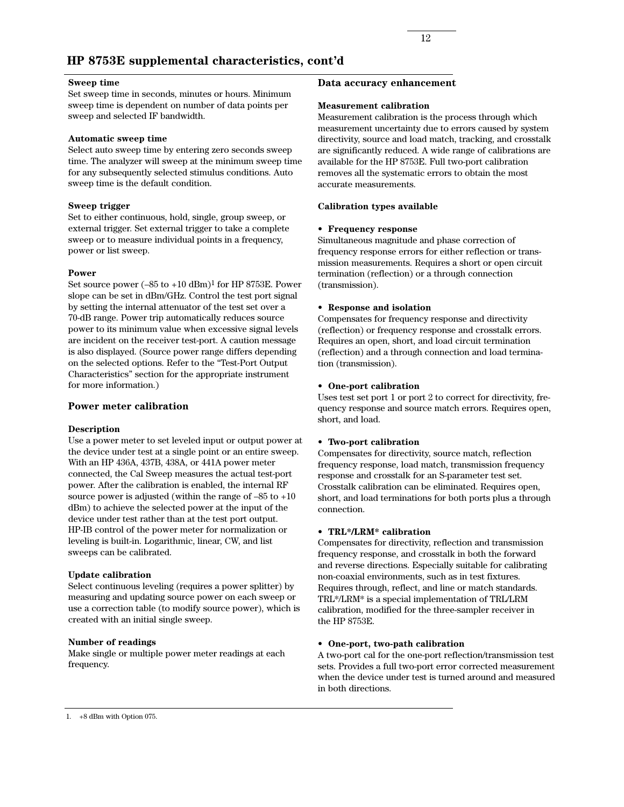### **Sweep time**

Set sweep time in seconds, minutes or hours. Minimum sweep time is dependent on number of data points per sweep and selected IF bandwidth.

### **Automatic sweep time**

Select auto sweep time by entering zero seconds sweep time. The analyzer will sweep at the minimum sweep time for any subsequently selected stimulus conditions. Auto sweep time is the default condition.

### **Sweep trigger**

Set to either continuous, hold, single, group sweep, or external trigger. Set external trigger to take a complete sweep or to measure individual points in a frequency, power or list sweep.

### **Power**

Set source power  $(-85 \text{ to } +10 \text{ dBm})^1$  for HP 8753E. Power slope can be set in dBm/GHz. Control the test port signal by setting the internal attenuator of the test set over a 70-dB range. Power trip automatically reduces source power to its minimum value when excessive signal levels are incident on the receiver test-port. A caution message is also displayed. (Source power range differs depending on the selected options. Refer to the "Test-Port Output Characteristics" section for the appropriate instrument for more information.)

### **Power meter calibration**

### **Description**

Use a power meter to set leveled input or output power at the device under test at a single point or an entire sweep. With an HP 436A, 437B, 438A, or 441A power meter connected, the Cal Sweep measures the actual test-port power. After the calibration is enabled, the internal RF source power is adjusted (within the range of  $-85$  to  $+10$ dBm) to achieve the selected power at the input of the device under test rather than at the test port output. HP-IB control of the power meter for normalization or leveling is built-in. Logarithmic, linear, CW, and list sweeps can be calibrated.

### **Update calibration**

Select continuous leveling (requires a power splitter) by measuring and updating source power on each sweep or use a correction table (to modify source power), which is created with an initial single sweep.

#### **Number of readings**

Make single or multiple power meter readings at each frequency.

### **Data accuracy enhancement**

### **Measurement calibration**

Measurement calibration is the process through which measurement uncertainty due to errors caused by system directivity, source and load match, tracking, and crosstalk are significantly reduced. A wide range of calibrations are available for the HP 8753E. Full two-port calibration removes all the systematic errors to obtain the most accurate measurements.

### **Calibration types available**

### **• Frequency response**

Simultaneous magnitude and phase correction of frequency response errors for either reflection or transmission measurements. Requires a short or open circuit termination (reflection) or a through connection (transmission).

#### **• Response and isolation**

Compensates for frequency response and directivity (reflection) or frequency response and crosstalk errors. Requires an open, short, and load circuit termination (reflection) and a through connection and load termination (transmission).

#### **• One-port calibration**

Uses test set port 1 or port 2 to correct for directivity, frequency response and source match errors. Requires open, short, and load.

### **• Two-port calibration**

Compensates for directivity, source match, reflection frequency response, load match, transmission frequency response and crosstalk for an S-parameter test set. Crosstalk calibration can be eliminated. Requires open, short, and load terminations for both ports plus a through connection.

### **• TRL\*/LRM\* calibration**

Compensates for directivity, reflection and transmission frequency response, and crosstalk in both the forward and reverse directions. Especially suitable for calibrating non-coaxial environments, such as in test fixtures. Requires through, reflect, and line or match standards. TRL\*/LRM\* is a special implementation of TRL/LRM calibration, modified for the three-sampler receiver in the HP 8753E.

### **• One-port, two-path calibration**

A two-port cal for the one-port reflection/transmission test sets. Provides a full two-port error corrected measurement when the device under test is turned around and measured in both directions.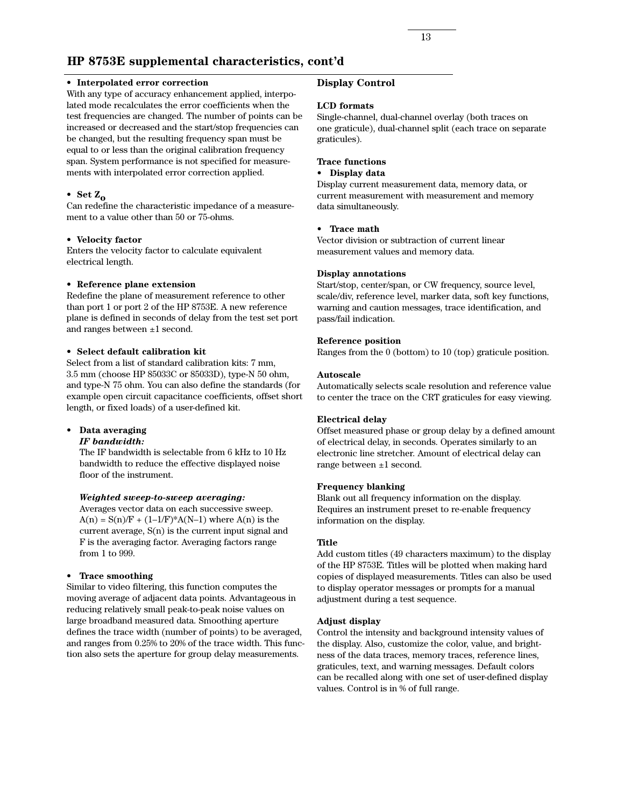### **• Interpolated error correction**

With any type of accuracy enhancement applied, interpolated mode recalculates the error coefficients when the test frequencies are changed. The number of points can be increased or decreased and the start/stop frequencies can be changed, but the resulting frequency span must be equal to or less than the original calibration frequency span. System performance is not specified for measurements with interpolated error correction applied.

• **Set Z<sub>0</sub>**<br>Can redefine the characteristic impedance of a measurement to a value other than 50 or 75-ohms.

### **• Velocity factor**

Enters the velocity factor to calculate equivalent electrical length.

#### **• Reference plane extension**

Redefine the plane of measurement reference to other than port 1 or port 2 of the HP 8753E. A new reference plane is defined in seconds of delay from the test set port and ranges between  $\pm 1$  second.

### **• Select default calibration kit**

Select from a list of standard calibration kits: 7 mm, 3.5 mm (choose HP 85033C or 85033D), type-N 50 ohm, and type-N 75 ohm. You can also define the standards (for example open circuit capacitance coefficients, offset short length, or fixed loads) of a user-defined kit.

### **• Data averaging**

### *IF bandwidth:*

The IF bandwidth is selectable from 6 kHz to 10 Hz bandwidth to reduce the effective displayed noise floor of the instrument.

### *Weighted sweep-to-sweep averaging:*

Averages vector data on each successive sweep.  $A(n) = S(n)/F + (1-1/F)^*A(N-1)$  where  $A(n)$  is the current average, S(n) is the current input signal and F is the averaging factor. Averaging factors range from 1 to 999.

### **• Trace smoothing**

Similar to video filtering, this function computes the moving average of adjacent data points. Advantageous in reducing relatively small peak-to-peak noise values on large broadband measured data. Smoothing aperture defines the trace width (number of points) to be averaged, and ranges from 0.25% to 20% of the trace width. This function also sets the aperture for group delay measurements.

### **Display Control**

#### **LCD formats**

Single-channel, dual-channel overlay (both traces on one graticule), dual-channel split (each trace on separate graticules).

### **Trace functions**

### **• Display data**

Display current measurement data, memory data, or current measurement with measurement and memory data simultaneously.

### **• Trace math**

Vector division or subtraction of current linear measurement values and memory data.

### **Display annotations**

Start/stop, center/span, or CW frequency, source level, scale/div, reference level, marker data, soft key functions, warning and caution messages, trace identification, and pass/fail indication.

### **Reference position**

Ranges from the 0 (bottom) to 10 (top) graticule position.

#### **Autoscale**

Automatically selects scale resolution and reference value to center the trace on the CRT graticules for easy viewing.

### **Electrical delay**

Offset measured phase or group delay by a defined amount of electrical delay, in seconds. Operates similarly to an electronic line stretcher. Amount of electrical delay can range between ±1 second.

### **Frequency blanking**

Blank out all frequency information on the display. Requires an instrument preset to re-enable frequency information on the display.

#### **Title**

Add custom titles (49 characters maximum) to the display of the HP 8753E. Titles will be plotted when making hard copies of displayed measurements. Titles can also be used to display operator messages or prompts for a manual adjustment during a test sequence.

#### **Adjust display**

Control the intensity and background intensity values of the display. Also, customize the color, value, and brightness of the data traces, memory traces, reference lines, graticules, text, and warning messages. Default colors can be recalled along with one set of user-defined display values. Control is in % of full range.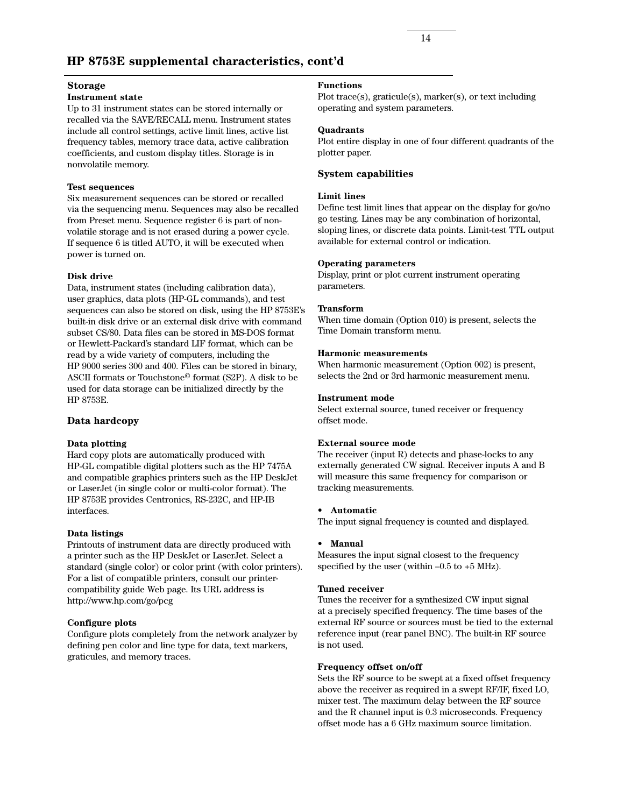### **Storage**

### **Instrument state**

Up to 31 instrument states can be stored internally or recalled via the SAVE/RECALL menu. Instrument states include all control settings, active limit lines, active list frequency tables, memory trace data, active calibration coefficients, and custom display titles. Storage is in nonvolatile memory.

### **Test sequences**

Six measurement sequences can be stored or recalled via the sequencing menu. Sequences may also be recalled from Preset menu. Sequence register 6 is part of nonvolatile storage and is not erased during a power cycle. If sequence 6 is titled AUTO, it will be executed when power is turned on.

### **Disk drive**

Data, instrument states (including calibration data), user graphics, data plots (HP-GL commands), and test sequences can also be stored on disk, using the HP 8753E's built-in disk drive or an external disk drive with command subset CS/80. Data files can be stored in MS-DOS format or Hewlett-Packard's standard LIF format, which can be read by a wide variety of computers, including the HP 9000 series 300 and 400. Files can be stored in binary, ASCII formats or Touchstone© format (S2P). A disk to be used for data storage can be initialized directly by the HP 8753E.

### **Data hardcopy**

### **Data plotting**

Hard copy plots are automatically produced with HP-GL compatible digital plotters such as the HP 7475A and compatible graphics printers such as the HP DeskJet or LaserJet (in single color or multi-color format). The HP 8753E provides Centronics, RS-232C, and HP-IB interfaces.

### **Data listings**

Printouts of instrument data are directly produced with a printer such as the HP DeskJet or LaserJet. Select a standard (single color) or color print (with color printers). For a list of compatible printers, consult our printercompatibility guide Web page. Its URL address is http://www.hp.com/go/pcg

### **Configure plots**

Configure plots completely from the network analyzer by defining pen color and line type for data, text markers, graticules, and memory traces.

### **Functions**

Plot trace(s), graticule(s), marker(s), or text including operating and system parameters.

### **Quadrants**

Plot entire display in one of four different quadrants of the plotter paper.

### **System capabilities**

### **Limit lines**

Define test limit lines that appear on the display for go/no go testing. Lines may be any combination of horizontal, sloping lines, or discrete data points. Limit-test TTL output available for external control or indication.

### **Operating parameters**

Display, print or plot current instrument operating parameters.

### **Transform**

When time domain (Option 010) is present, selects the Time Domain transform menu.

### **Harmonic measurements**

When harmonic measurement (Option 002) is present, selects the 2nd or 3rd harmonic measurement menu.

### **Instrument mode**

Select external source, tuned receiver or frequency offset mode.

### **External source mode**

The receiver (input R) detects and phase-locks to any externally generated CW signal. Receiver inputs A and B will measure this same frequency for comparison or tracking measurements.

### • **Automatic**

The input signal frequency is counted and displayed.

### • **Manual**

Measures the input signal closest to the frequency specified by the user (within –0.5 to +5 MHz).

#### **Tuned receiver**

Tunes the receiver for a synthesized CW input signal at a precisely specified frequency. The time bases of the external RF source or sources must be tied to the external reference input (rear panel BNC). The built-in RF source is not used.

#### **Frequency offset on/off**

Sets the RF source to be swept at a fixed offset frequency above the receiver as required in a swept RF/IF, fixed LO, mixer test. The maximum delay between the RF source and the R channel input is 0.3 microseconds. Frequency offset mode has a 6 GHz maximum source limitation.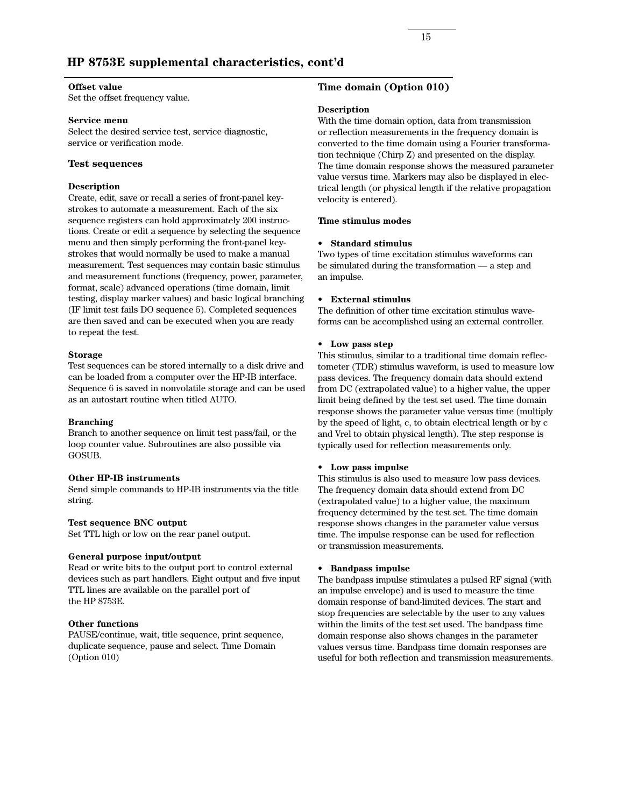#### **Offset value**

Set the offset frequency value.

#### **Service menu**

Select the desired service test, service diagnostic, service or verification mode.

### **Test sequences**

#### **Description**

Create, edit, save or recall a series of front-panel keystrokes to automate a measurement. Each of the six sequence registers can hold approximately 200 instructions. Create or edit a sequence by selecting the sequence menu and then simply performing the front-panel keystrokes that would normally be used to make a manual measurement. Test sequences may contain basic stimulus and measurement functions (frequency, power, parameter, format, scale) advanced operations (time domain, limit testing, display marker values) and basic logical branching (IF limit test fails DO sequence 5). Completed sequences are then saved and can be executed when you are ready to repeat the test.

#### **Storage**

Test sequences can be stored internally to a disk drive and can be loaded from a computer over the HP-IB interface. Sequence 6 is saved in nonvolatile storage and can be used as an autostart routine when titled AUTO.

#### **Branching**

Branch to another sequence on limit test pass/fail, or the loop counter value. Subroutines are also possible via GOSUB.

#### **Other HP-IB instruments**

Send simple commands to HP-IB instruments via the title string.

### **Test sequence BNC output**

Set TTL high or low on the rear panel output.

### **General purpose input/output**

Read or write bits to the output port to control external devices such as part handlers. Eight output and five input TTL lines are available on the parallel port of the HP 8753E.

#### **Other functions**

PAUSE/continue, wait, title sequence, print sequence, duplicate sequence, pause and select. Time Domain (Option 010)

### **Time domain (Option 010)**

#### **Description**

With the time domain option, data from transmission or reflection measurements in the frequency domain is converted to the time domain using a Fourier transformation technique (Chirp Z) and presented on the display. The time domain response shows the measured parameter value versus time. Markers may also be displayed in electrical length (or physical length if the relative propagation velocity is entered).

### **Time stimulus modes**

#### **• Standard stimulus**

Two types of time excitation stimulus waveforms can be simulated during the transformation — a step and an impulse.

### **• External stimulus**

The definition of other time excitation stimulus waveforms can be accomplished using an external controller.

#### **• Low pass step**

This stimulus, similar to a traditional time domain reflectometer (TDR) stimulus waveform, is used to measure low pass devices. The frequency domain data should extend from DC (extrapolated value) to a higher value, the upper limit being defined by the test set used. The time domain response shows the parameter value versus time (multiply by the speed of light, c, to obtain electrical length or by c and Vrel to obtain physical length). The step response is typically used for reflection measurements only.

#### **• Low pass impulse**

This stimulus is also used to measure low pass devices. The frequency domain data should extend from DC (extrapolated value) to a higher value, the maximum frequency determined by the test set. The time domain response shows changes in the parameter value versus time. The impulse response can be used for reflection or transmission measurements.

#### **• Bandpass impulse**

The bandpass impulse stimulates a pulsed RF signal (with an impulse envelope) and is used to measure the time domain response of band-limited devices. The start and stop frequencies are selectable by the user to any values within the limits of the test set used. The bandpass time domain response also shows changes in the parameter values versus time. Bandpass time domain responses are useful for both reflection and transmission measurements.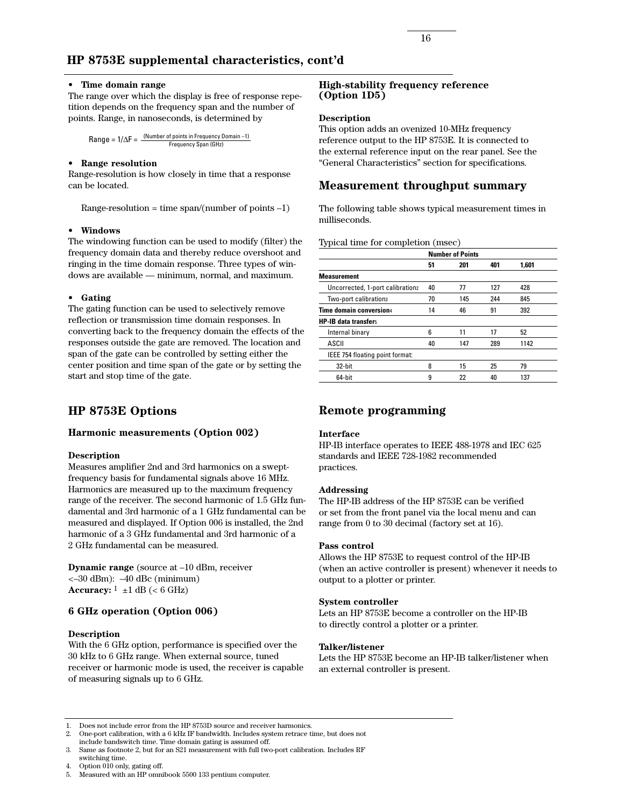### **• Time domain range**

The range over which the display is free of response repetition depends on the frequency span and the number of points. Range, in nanoseconds, is determined by

Range =  $1/\Delta F = \frac{(Number of points in Frequency Domain - 1)}{F}$ Frequency Span (GHz)

### **• Range resolution**

Range-resolution is how closely in time that a response can be located.

Range-resolution = time  $span/(number of points -1)$ 

### **• Windows**

The windowing function can be used to modify (filter) the frequency domain data and thereby reduce overshoot and ringing in the time domain response. Three types of windows are available — minimum, normal, and maximum.

### **• Gating**

The gating function can be used to selectively remove reflection or transmission time domain responses. In converting back to the frequency domain the effects of the responses outside the gate are removed. The location and span of the gate can be controlled by setting either the center position and time span of the gate or by setting the start and stop time of the gate.

### **HP 8753E Options**

### **Harmonic measurements (Option 002)**

### **Description**

Measures amplifier 2nd and 3rd harmonics on a sweptfrequency basis for fundamental signals above 16 MHz. Harmonics are measured up to the maximum frequency range of the receiver. The second harmonic of 1.5 GHz fundamental and 3rd harmonic of a 1 GHz fundamental can be measured and displayed. If Option 006 is installed, the 2nd harmonic of a 3 GHz fundamental and 3rd harmonic of a 2 GHz fundamental can be measured.

**Dynamic range** (source at –10 dBm, receiver  $<-30$  dBm):  $-40$  dBc (minimum) **Accuracy:**  $\frac{1}{1}$   $\pm 1$  dB (< 6 GHz)

### **6 GHz operation (Option 006)**

### **Description**

With the 6 GHz option, performance is specified over the 30 kHz to 6 GHz range. When external source, tuned receiver or harmonic mode is used, the receiver is capable of measuring signals up to 6 GHz.

### **High-stability frequency reference (Option 1D5)**

### **Description**

This option adds an ovenized 10-MHz frequency reference output to the HP 8753E. It is connected to the external reference input on the rear panel. See the "General Characteristics" section for specifications.

### **Measurement throughput summary**

The following table shows typical measurement times in milliseconds.

Typical time for completion (msec)

|                                              | <b>Number of Points</b> |     |     |       |  |
|----------------------------------------------|-------------------------|-----|-----|-------|--|
|                                              | 51                      | 201 | 401 | 1.601 |  |
| <b>Measurement</b>                           |                         |     |     |       |  |
| Uncorrected, 1-port calibration <sub>2</sub> | 40                      | 77  | 127 | 428   |  |
| Two-port calibrations                        | 70                      | 145 | 244 | 845   |  |
| Time domain conversion4                      | 14                      | 46  | 91  | 392   |  |
| <b>HP-IB data transfers</b>                  |                         |     |     |       |  |
| Internal binary                              | 6                       | 11  | 17  | 52    |  |
| ASCII                                        | 40                      | 147 | 289 | 1142  |  |
| IEEE 754 floating point format:              |                         |     |     |       |  |
| $32$ -bit                                    | 8                       | 15  | 25  | 79    |  |
| 64-bit                                       | 9                       | 22  | 40  | 137   |  |
|                                              |                         |     |     |       |  |

### **Remote programming**

#### **Interface**

HP-IB interface operates to IEEE 488-1978 and IEC 625 standards and IEEE 728-1982 recommended practices.

### **Addressing**

The HP-IB address of the HP 8753E can be verified or set from the front panel via the local menu and can range from 0 to 30 decimal (factory set at 16).

#### **Pass control**

Allows the HP 8753E to request control of the HP-IB (when an active controller is present) whenever it needs to output to a plotter or printer.

#### **System controller**

Lets an HP 8753E become a controller on the HP-IB to directly control a plotter or a printer.

#### **Talker/listener**

Lets the HP 8753E become an HP-IB talker/listener when an external controller is present.

4. Option 010 only, gating off.

<sup>1.</sup> Does not include error from the HP 8753D source and receiver harmonics.

<sup>2.</sup> One-port calibration, with a 6 kHz IF bandwidth. Includes system retrace time, but does not

include bandswitch time. Time domain gating is assumed off.

<sup>3.</sup> Same as footnote 2, but for an S21 measurement with full two-port calibration. Includes RF switching time.

<sup>5.</sup> Measured with an HP omnibook 5500 133 pentium computer.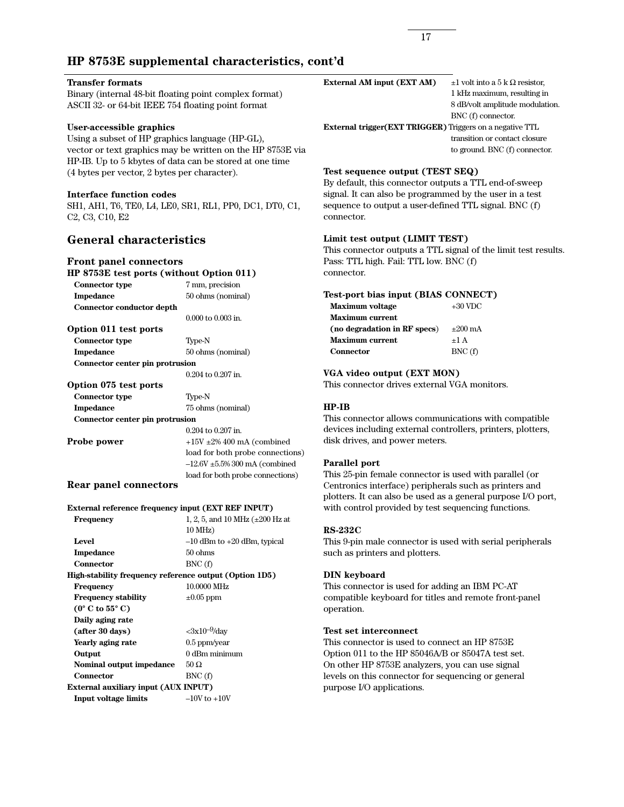### **Transfer formats**

Binary (internal 48-bit floating point complex format) ASCII 32- or 64-bit IEEE 754 floating point format

### **User-accessible graphics**

Using a subset of HP graphics language (HP-GL), vector or text graphics may be written on the HP 8753E via HP-IB. Up to 5 kbytes of data can be stored at one time (4 bytes per vector, 2 bytes per character).

### **Interface function codes**

SH1, AH1, T6, TE0, L4, LE0, SR1, RL1, PP0, DC1, DT0, C1, C2, C3, C10, E2

### **General characteristics**

### **Front panel connectors**

| ттоне ранет соннессотв                   |                                   |
|------------------------------------------|-----------------------------------|
| HP 8753E test ports (without Option 011) |                                   |
| <b>Connector type</b>                    | 7 mm, precision                   |
| Impedance                                | 50 ohms (nominal)                 |
| Connector conductor depth                |                                   |
|                                          | $0.000$ to $0.003$ in.            |
| Option 011 test ports                    |                                   |
| Connector type                           | Type-N                            |
| <b>Impedance</b>                         | 50 ohms (nominal)                 |
| Connector center pin protrusion          |                                   |
|                                          | $0.204$ to $0.207$ in.            |
| Option 075 test ports                    |                                   |
| <b>Connector type</b>                    | Type-N                            |
| Impedance                                | 75 ohms (nominal)                 |
| Connector center pin protrusion          |                                   |
|                                          | $0.204$ to $0.207$ in.            |
| <b>Probe power</b>                       | $+15V \pm 2\% 400$ mA (combined   |
|                                          | load for both probe connections)  |
|                                          | $-12.6V + 5.5\% 300$ mA (combined |
|                                          | load for both probe connections)  |
| Rear panel connectors                    |                                   |

|  | External reference frequency input (EXT REF INPUT) |  |  |  |
|--|----------------------------------------------------|--|--|--|
|  |                                                    |  |  |  |

| Frequency                                              | 1, 2, 5, and 10 MHz $(\pm 200 \text{ Hz at})$ |
|--------------------------------------------------------|-----------------------------------------------|
|                                                        | $10$ MHz $)$                                  |
| Level                                                  | $-10$ dBm to $+20$ dBm, typical               |
| Impedance                                              | $50 \text{ ohms}$                             |
| Connector                                              | BNC(f)                                        |
| High-stability frequency reference output (Option 1D5) |                                               |
| Frequency                                              | 10,0000 MHz                                   |
| <b>Frequency stability</b>                             | $\pm 0.05$ ppm                                |
| $(0^{\circ}$ C to 55 $^{\circ}$ C)                     |                                               |
| Daily aging rate                                       |                                               |
| (after 30 days)                                        | $<3x10^{-9}/day$                              |
| Yearly aging rate                                      | $0.5$ ppm/year                                |
| Output                                                 | 0 dBm minimum                                 |
| Nominal output impedance                               | 50 $\Omega$                                   |
| Connector                                              | BNC(f)                                        |
| External auxiliary input (AUX INPUT)                   |                                               |
| Input voltage limits                                   | $-10V$ to $+10V$                              |
|                                                        |                                               |

**External AM input (EXT AM)**  $\pm 1$  volt into a 5 k  $\Omega$  resistor,

1 kHz maximum, resulting in 8 dB/volt amplitude modulation. BNC (f) connector. **External trigger(EXT TRIGGER)** Triggers on a negative TTL

transition or contact closure to ground. BNC (f) connector.

### **Test sequence output (TEST SEQ)**

By default, this connector outputs a TTL end-of-sweep signal. It can also be programmed by the user in a test sequence to output a user-defined TTL signal. BNC (f) connector.

### **Limit test output (LIMIT TEST)**

This connector outputs a TTL signal of the limit test results. Pass: TTL high. Fail: TTL low. BNC (f) connector.

#### **Test-port bias input (BIAS CONNECT)**

| <b>Maximum</b> voltage       | $+30$ VDC            |
|------------------------------|----------------------|
| <b>Maximum current</b>       |                      |
| (no degradation in RF specs) | $\pm 200 \text{ mA}$ |
| <b>Maximum</b> current       | $+1$ A               |
| Connector                    | BNC(f)               |

**VGA video output (EXT MON)**

This connector drives external VGA monitors.

### **HP-IB**

This connector allows communications with compatible devices including external controllers, printers, plotters, disk drives, and power meters.

#### **Parallel port**

This 25-pin female connector is used with parallel (or Centronics interface) peripherals such as printers and plotters. It can also be used as a general purpose I/O port, with control provided by test sequencing functions.

#### **RS-232C**

This 9-pin male connector is used with serial peripherals such as printers and plotters.

#### **DIN keyboard**

This connector is used for adding an IBM PC-AT compatible keyboard for titles and remote front-panel operation.

### **Test set interconnect**

This connector is used to connect an HP 8753E Option 011 to the HP 85046A/B or 85047A test set. On other HP 8753E analyzers, you can use signal levels on this connector for sequencing or general purpose I/O applications.

17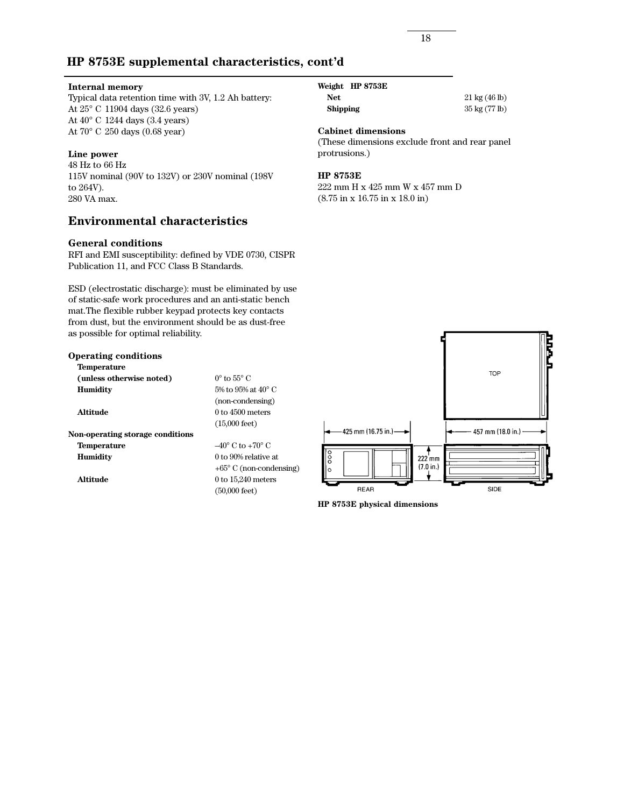### **Internal memory**

Typical data retention time with 3V, 1.2 Ah battery: At 25° C 11904 days (32.6 years) At 40° C 1244 days (3.4 years) At 70° C 250 days (0.68 year)

### **Line power**

48 Hz to 66 Hz 115V nominal (90V to 132V) or 230V nominal (198V to 264V). 280 VA max.

### **Environmental characteristics**

### **General conditions**

RFI and EMI susceptibility: defined by VDE 0730, CISPR Publication 11, and FCC Class B Standards.

ESD (electrostatic discharge): must be eliminated by use of static-safe work procedures and an anti-static bench mat.The flexible rubber keypad protects key contacts from dust, but the environment should be as dust-free as possible for optimal reliability.

| <b>Operating conditions</b>      |                                    |
|----------------------------------|------------------------------------|
| Temperature                      |                                    |
| (unless otherwise noted)         | $0^{\circ}$ to 55 $^{\circ}$ C     |
| Humidity                         | 5% to 95% at 40 $^{\circ}$ C       |
|                                  | (non-condensing)                   |
| Altitude                         | $0$ to $4500$ meters               |
|                                  | $(15,000 \text{ feet})$            |
| Non-operating storage conditions |                                    |
| <b>Temperature</b>               | $-40^{\circ}$ C to $+70^{\circ}$ C |
| Humidity                         | $0$ to 90% relative at             |
|                                  | $+65^{\circ}$ C (non-condensing)   |
| Altitude                         | $0$ to $15,240$ meters             |
|                                  | $(50,000 \text{ feet})$            |

### **Weight HP 8753E**

**Net** 21 kg (46 lb) **Shipping** 35 kg (77 lb)

### **Cabinet dimensions**

(These dimensions exclude front and rear panel protrusions.)

### **HP 8753E**

222 mm H x 425 mm W x 457 mm D (8.75 in x 16.75 in x 18.0 in)



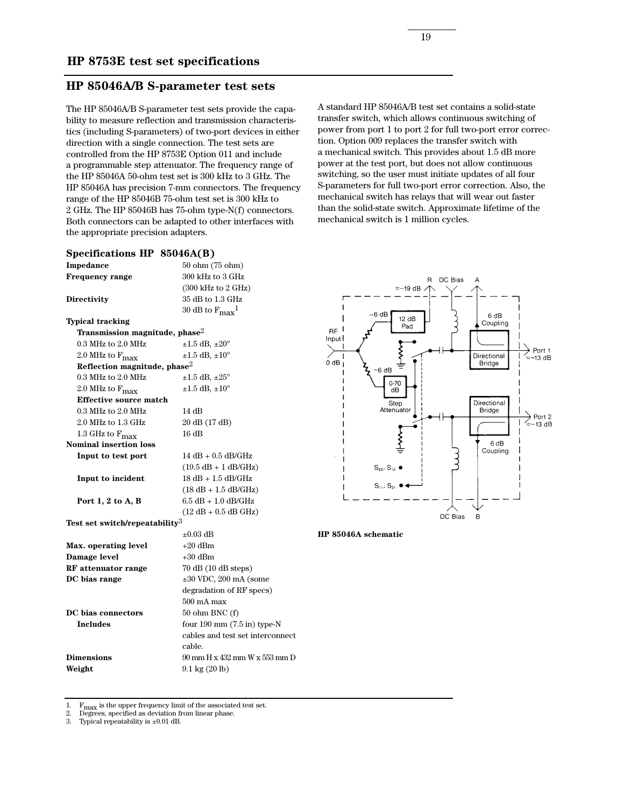### **HP 85046A/B S-parameter test sets**

The HP 85046A/B S-parameter test sets provide the capability to measure reflection and transmission characteristics (including S-parameters) of two-port devices in either direction with a single connection. The test sets are controlled from the HP 8753E Option 011 and include a programmable step attenuator. The frequency range of the HP 85046A 50-ohm test set is 300 kHz to 3 GHz. The HP 85046A has precision 7-mm connectors. The frequency range of the HP 85046B 75-ohm test set is 300 kHz to 2 GHz. The HP 85046B has 75-ohm type-N(f) connectors. Both connectors can be adapted to other interfaces with the appropriate precision adapters.

A standard HP 85046A/B test set contains a solid-state transfer switch, which allows continuous switching of power from port 1 to port 2 for full two-port error correction. Option 009 replaces the transfer switch with a mechanical switch. This provides about 1.5 dB more power at the test port, but does not allow continuous switching, so the user must initiate updates of all four S-parameters for full two-port error correction. Also, the mechanical switch has relays that will wear out faster than the solid-state switch. Approximate lifetime of the mechanical switch is 1 million cycles.

| Specifications HP 85046A(B)                |                                       |
|--------------------------------------------|---------------------------------------|
| Impedance                                  | 50 ohm (75 ohm)                       |
| <b>Frequency range</b>                     | 300 kHz to 3 GHz                      |
|                                            | $(300 \text{ kHz to } 2 \text{ GHz})$ |
| <b>Directivity</b>                         | 35 dB to 1.3 GHz                      |
|                                            | 30 dB to $F_{\rm max}^{-1}$           |
| <b>Typical tracking</b>                    |                                       |
| Transmission magnitude, phase $^2$         |                                       |
| 0.3 MHz to 2.0 MHz                         | $\pm 1.5$ dB, $\pm 20^\circ$          |
| 2.0 MHz to $F_{\text{max}}$                | $\pm 1.5$ dB, $\pm 10^{\circ}$        |
| Reflection magnitude, phase <sup>2</sup>   |                                       |
| 0.3 MHz to 2.0 MHz                         | $\pm 1.5$ dB, $\pm 25^{\circ}$        |
| 2.0 MHz to $F_{\text{max}}$                | $\pm 1.5$ dB, $\pm 10^{\circ}$        |
| <b>Effective source match</b>              |                                       |
| 0.3 MHz to 2.0 MHz                         | 14dB                                  |
| 2.0 MHz to 1.3 GHz                         | 20 dB (17 dB)                         |
| 1.3 GHz to $F_{\text{max}}$                | 16dB                                  |
| <b>Nominal insertion loss</b>              |                                       |
| Input to test port                         | $14 dB + 0.5 dB/GHz$                  |
|                                            | $(19.5 dB + 1 dB/GHz)$                |
| Input to incident                          | $18 dB + 1.5 dB/GHz$                  |
|                                            | $(18 dB + 1.5 dB/GHz)$                |
| Port $1, 2$ to $A, B$                      | $6.5$ dB $+1.0$ dB/GHz                |
|                                            | $(12 dB + 0.5 dB GHz)$                |
| Test set switch/repeatability <sup>3</sup> |                                       |
|                                            | $\pm 0.03$ dB                         |
| Max. operating level                       | +20 dBm                               |
| Damage level                               | $+30$ dBm                             |
| RF attenuator range                        | $70$ dB $(10$ dB steps)               |
| DC bias range                              | $\pm 30$ VDC, 200 mA (some            |
|                                            | degradation of RF specs)              |
|                                            | 500 mA max                            |
| <b>DC</b> bias connectors                  | $50$ ohm BNC $(f)$                    |
| <b>Includes</b>                            | four $190 \text{ mm}$ (7.5 in) type-N |
|                                            | cables and test set interconnect      |
|                                            | cable.                                |
| <b>Dimensions</b>                          | 90 mm H x 432 mm W x 553 mm D         |
| Weight                                     | $9.1 \text{ kg} (20 \text{ lb})$      |
|                                            |                                       |



**HP 85046A schematic**

1. F<sub>max</sub> is the upper frequency limit of the associated test set.<br>2. Degrees, specified as deviation from linear phase.

2. Degrees, specified as deviation from linear phase.<br>3. Typical repeatability is  $+0.01$  dB.

Typical repeatability is  $\pm 0.01$  dB.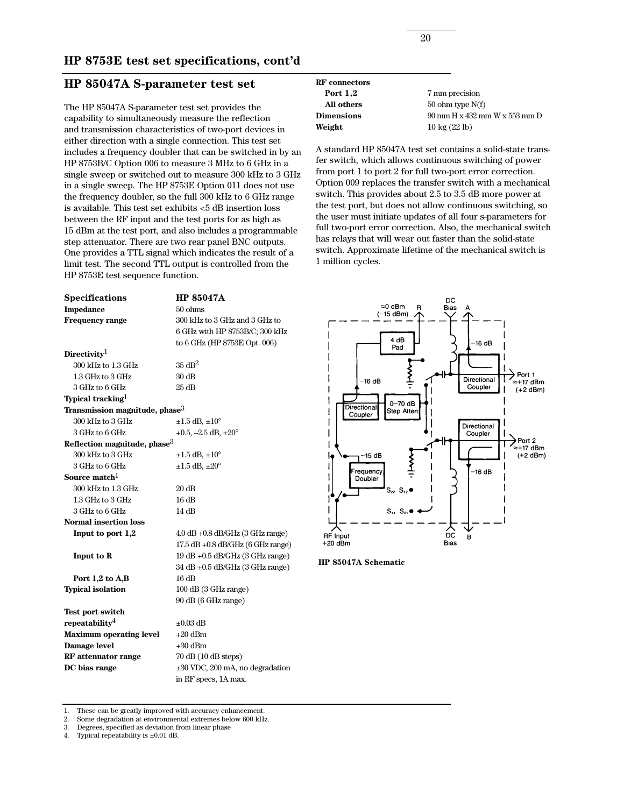### **HP 8753E test set specifications, cont'd**

### **HP 85047A S-parameter test set**

The HP 85047A S-parameter test set provides the capability to simultaneously measure the reflection and transmission characteristics of two-port devices in either direction with a single connection. This test set includes a frequency doubler that can be switched in by an HP 8753B/C Option 006 to measure 3 MHz to 6 GHz in a single sweep or switched out to measure 300 kHz to 3 GHz in a single sweep. The HP 8753E Option 011 does not use the frequency doubler, so the full 300 kHz to 6 GHz range is available. This test set exhibits <5 dB insertion loss between the RF input and the test ports for as high as 15 dBm at the test port, and also includes a programmable step attenuator. There are two rear panel BNC outputs. One provides a TTL signal which indicates the result of a limit test. The second TTL output is controlled from the HP 8753E test sequence function.

| <b>Specifications</b>                      | <b>HP 85047A</b>                      |
|--------------------------------------------|---------------------------------------|
| Impedance                                  | $50 \text{ ohms}$                     |
| <b>Frequency range</b>                     | 300 kHz to 3 GHz and 3 GHz to         |
|                                            | 6 GHz with HP 8753B/C; 300 kHz        |
|                                            | to 6 GHz (HP 8753E Opt. 006)          |
| Directivity <sup>1</sup>                   |                                       |
| 300 kHz to 1.3 GHz                         | $35 \text{ dB}^2$                     |
| 1.3 GHz to 3 GHz                           | $30 \text{ dB}$                       |
| 3 GHz to 6 GHz                             | 25 dB                                 |
| Typical tracking <sup>1</sup>              |                                       |
| Transmission magnitude, phase <sup>3</sup> |                                       |
| 300 kHz to 3 GHz                           | $\pm 1.5$ dB, $\pm 10^{\circ}$        |
| 3 GHz to 6 GHz                             | $+0.5, -2.5$ dB, $\pm 20^{\circ}$     |
| Reflection magnitude, phase <sup>3</sup>   |                                       |
| 300 kHz to 3 GHz                           | $\pm 1.5$ dB, $\pm 10^{\circ}$        |
| 3 GHz to 6 GHz                             | $\pm 1.5$ dB, $\pm 20^{\circ}$        |
| Source match <sup>1</sup>                  |                                       |
| 300 kHz to 1.3 GHz                         | 20 dB                                 |
| $1.3$ GHz to $3$ GHz                       | 16 dB                                 |
| 3 GHz to 6 GHz                             | 14 dB                                 |
| <b>Normal insertion loss</b>               |                                       |
| Input to port 1,2                          | 4.0 dB +0.8 dB/GHz (3 GHz range)      |
|                                            | $17.5$ dB $+0.8$ dB/GHz (6 GHz range) |
| Input to R                                 | $19 dB + 0.5 dB/GHz$ (3 GHz range)    |
|                                            | 34 dB +0.5 dB/GHz (3 GHz range)       |
| Port 1,2 to A,B                            | 16 dB                                 |
| <b>Typical isolation</b>                   | 100 dB (3 GHz range)                  |
|                                            | 90 dB (6 GHz range)                   |
| Test port switch                           |                                       |
| repeatability <sup>4</sup>                 | $\pm 0.03$ dB                         |
| <b>Maximum operating level</b>             | $+20$ dBm                             |
| Damage level                               | $+30$ dBm                             |
| <b>RF</b> attenuator range                 | $70$ dB $(10$ dB steps)               |
| DC bias range                              | $\pm 30$ VDC, 200 mA, no degradation  |
|                                            | in RF specs, 1A max.                  |

| <b>RF</b> connectors |                                                             |
|----------------------|-------------------------------------------------------------|
| <b>Port 1,2</b>      | 7 mm precision                                              |
| All others           | $50$ ohm type $N(f)$                                        |
| <b>Dimensions</b>    | $90 \text{ mm}$ H x $432 \text{ mm}$ W x $553 \text{ mm}$ D |
| Weight               | $10 \text{ kg} (22 \text{ lb})$                             |

A standard HP 85047A test set contains a solid-state transfer switch, which allows continuous switching of power from port 1 to port 2 for full two-port error correction. Option 009 replaces the transfer switch with a mechanical switch. This provides about 2.5 to 3.5 dB more power at the test port, but does not allow continuous switching, so the user must initiate updates of all four s-parameters for full two-port error correction. Also, the mechanical switch has relays that will wear out faster than the solid-state switch. Approximate lifetime of the mechanical switch is 1 million cycles.





1. These can be greatly improved with accuracy enhancement.<br>2. Some degradation at environmental extremes below 600 kHz

2. Some degradation at environmental extremes below 600 kHz.<br>3. Degrees specified as deviation from linear phase 3. Degrees, specified as deviation from linear phase

4. Typical repeatability is  $\pm 0.01$  dB.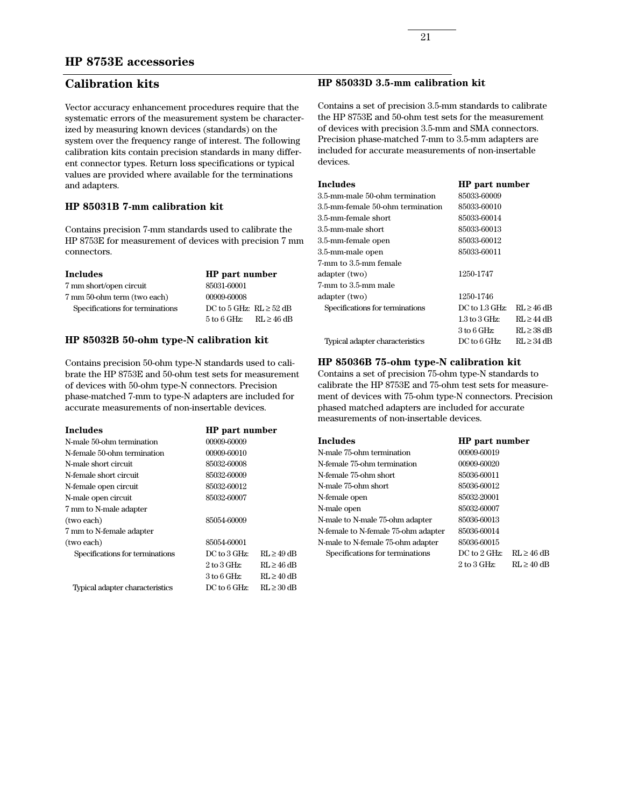### **HP 8753E accessories**

### **Calibration kits**

Vector accuracy enhancement procedures require that the systematic errors of the measurement system be characterized by measuring known devices (standards) on the system over the frequency range of interest. The following calibration kits contain precision standards in many different connector types. Return loss specifications or typical values are provided where available for the terminations and adapters.

### **HP 85031B 7-mm calibration kit**

Contains precision 7-mm standards used to calibrate the HP 8753E for measurement of devices with precision 7 mm connectors.

| Includes<br>HP part number      |                                                                   |
|---------------------------------|-------------------------------------------------------------------|
| 7 mm short/open circuit         | 85031-60001                                                       |
| 7 mm 50-ohm term (two each)     | 00909-60008                                                       |
| Specifications for terminations | DC to 5 GHz: $RL \ge 52$ dB                                       |
|                                 | $5 \text{ to } 6 \text{ GHz}: \quad \text{RL} \geq 46 \text{ dB}$ |

### **HP 85032B 50-ohm type-N calibration kit**

Contains precision 50-ohm type-N standards used to calibrate the HP 8753E and 50-ohm test sets for measurement of devices with 50-ohm type-N connectors. Precision phase-matched 7-mm to type-N adapters are included for accurate measurements of non-insertable devices.

| <b>Includes</b>                 | HP part number  |                 |
|---------------------------------|-----------------|-----------------|
| N-male 50-ohm termination       | 00909-60009     |                 |
| N-female 50-ohm termination     | 00909-60010     |                 |
| N-male short circuit            | 85032-60008     |                 |
| N-female short circuit          | 85032-60009     |                 |
| N-female open circuit           | 85032-60012     |                 |
| N-male open circuit             | 85032-60007     |                 |
| 7 mm to N-male adapter          |                 |                 |
| (two each)                      | 85054-60009     |                 |
| 7 mm to N-female adapter        |                 |                 |
| (two each)                      | 85054-60001     |                 |
| Specifications for terminations | DC to 3 GHz:    | $RL \geq 49$ dB |
|                                 | $2$ to $3$ GHz: | $RL \geq 46$ dB |
|                                 | $3$ to 6 GHz:   | $RL \geq 40$ dB |
| Typical adapter characteristics | DC to 6 GHz:    | $RL \geq 30$ dB |

### **HP 85033D 3.5-mm calibration kit**

Contains a set of precision 3.5-mm standards to calibrate the HP 8753E and 50-ohm test sets for the measurement of devices with precision 3.5-mm and SMA connectors. Precision phase-matched 7-mm to 3.5-mm adapters are included for accurate measurements of non-insertable devices.

| Includes                         | <b>HP</b> part number |                 |
|----------------------------------|-----------------------|-----------------|
| 3.5-mm-male 50-ohm termination   | 85033-60009           |                 |
| 3.5-mm-female 50-ohm termination | 85033-60010           |                 |
| 3.5-mm-female short              | 85033-60014           |                 |
| 3.5-mm-male short                | 85033-60013           |                 |
| 3.5-mm-female open               | 85033-60012           |                 |
| 3.5-mm-male open                 | 85033-60011           |                 |
| 7-mm to 3.5-mm female            |                       |                 |
| adapter (two)                    | 1250-1747             |                 |
| 7-mm to 3.5-mm male              |                       |                 |
| adapter (two)                    | 1250-1746             |                 |
| Specifications for terminations  | $DC$ to $1.3$ GHz:    | $RL \geq 46$ dB |
|                                  | $1.3$ to $3$ GHz:     | $RL \geq 44$ dB |
|                                  | $3$ to 6 GHz:         | $RL \geq 38$ dB |
| Typical adapter characteristics  | $DC$ to 6 GHz:        | $RL \geq 34$ dB |
|                                  |                       |                 |

### **HP 85036B 75-ohm type-N calibration kit**

Contains a set of precision 75-ohm type-N standards to calibrate the HP 8753E and 75-ohm test sets for measurement of devices with 75-ohm type-N connectors. Precision phased matched adapters are included for accurate measurements of non-insertable devices.

| Includes                            | <b>HP</b> part number |                 |
|-------------------------------------|-----------------------|-----------------|
| N-male 75-ohm termination           | 00909-60019           |                 |
| N-female 75-ohm termination         | 00909-60020           |                 |
| N-female 75-ohm short.              | 85036-60011           |                 |
| N-male 75-ohm short                 | 85036-60012           |                 |
| N-female open                       | 85032-20001           |                 |
| N-male open                         | 85032-60007           |                 |
| N-male to N-male 75-ohm adapter     | 85036-60013           |                 |
| N-female to N-female 75-ohm adapter | 85036-60014           |                 |
| N-male to N-female 75-ohm adapter   | 85036-60015           |                 |
| Specifications for terminations     | DC to 2 GHz:          | $RL \geq 46$ dB |
|                                     | 2 to 3 GHz:           | $RL \geq 40$ dB |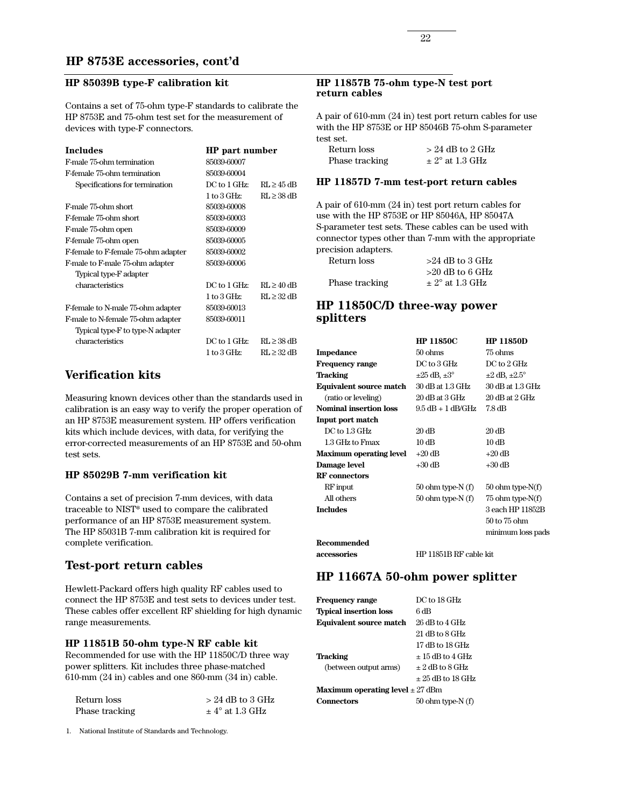### **HP 85039B type-F calibration kit**

Contains a set of 75-ohm type-F standards to calibrate the HP 8753E and 75-ohm test set for the measurement of devices with type-F connectors.

| Includes                            | HP part number  |                 |
|-------------------------------------|-----------------|-----------------|
| F-male 75-ohm termination           | 85039-60007     |                 |
| F-female 75-ohm termination         | 85039-60004     |                 |
| Specifications for termination      | DC to 1 GHz:    | $RL \geq 45$ dB |
|                                     | $1$ to $3$ GHz: | $RL \geq 38$ dB |
| F-male 75-ohm short                 | 85039-60008     |                 |
| F-female 75-ohm short               | 85039-60003     |                 |
| F-male 75-ohm open                  | 85039-60009     |                 |
| F-female 75-ohm open                | 85039-60005     |                 |
| F-female to F-female 75-ohm adapter | 85039-60002     |                 |
| F-male to F-male 75-ohm adapter     | 85039-60006     |                 |
| Typical type-F adapter              |                 |                 |
| characteristics                     | DC to 1 GHz:    | $RL \geq 40$ dB |
|                                     | $1$ to $3$ GHz: | $RL \geq 32$ dB |
| F-female to N-male 75-ohm adapter   | 85039-60013     |                 |
| F-male to N-female 75-ohm adapter   | 85039-60011     |                 |
| Typical type-F to type-N adapter    |                 |                 |
| characteristics                     | DC to 1 GHz:    | $RL \geq 38$ dB |
|                                     | 1 to 3 GHz:     | RL≥32 dB        |

### **Verification kits**

Measuring known devices other than the standards used in calibration is an easy way to verify the proper operation of an HP 8753E measurement system. HP offers verification kits which include devices, with data, for verifying the error-corrected measurements of an HP 8753E and 50-ohm test sets.

### **HP 85029B 7-mm verification kit**

Contains a set of precision 7-mm devices, with data traceable to NIST\* used to compare the calibrated performance of an HP 8753E measurement system. The HP 85031B 7-mm calibration kit is required for complete verification.

### **Test-port return cables**

Hewlett-Packard offers high quality RF cables used to connect the HP 8753E and test sets to devices under test. These cables offer excellent RF shielding for high dynamic range measurements.

### **HP 11851B 50-ohm type-N RF cable kit**

Recommended for use with the HP 11850C/D three way power splitters. Kit includes three phase-matched 610-mm (24 in) cables and one 860-mm (34 in) cable.

| Return loss    | $> 24$ dB to 3 GHz  |
|----------------|---------------------|
| Phase tracking | $\pm$ 4° at 1.3 GHz |

1. National Institute of Standards and Technology.

### **HP 11857B 75-ohm type-N test port return cables**

A pair of 610-mm (24 in) test port return cables for use with the HP 8753E or HP 85046B 75-ohm S-parameter test set.

| Return loss    | $> 24$ dB to 2 GHz  |
|----------------|---------------------|
| Phase tracking | $\pm$ 2° at 1.3 GHz |

#### **HP 11857D 7-mm test-port return cables**

A pair of 610-mm (24 in) test port return cables for use with the HP 8753E or HP 85046A, HP 85047A S-parameter test sets. These cables can be used with connector types other than 7-mm with the appropriate precision adapters.

| Return loss    | $>24$ dB to 3 GHz   |
|----------------|---------------------|
|                | $>20$ dB to 6 GHz   |
| Phase tracking | $\pm$ 2° at 1.3 GHz |

### **HP 11850C/D three-way power splitters**

|                                | <b>HP 11850C</b>             | <b>HP 11850D</b>              |
|--------------------------------|------------------------------|-------------------------------|
| Impedance                      | 50 ohms                      | 75 ohms                       |
| Frequency range                | $DC$ to $3$ GHz              | DC to 2 GHz                   |
| Tracking                       | $\pm 25$ dB, $\pm 3^{\circ}$ | $\pm 2$ dB, $\pm 2.5^{\circ}$ |
| <b>Equivalent source match</b> | 30 dB at 1.3 GHz             | 30 dB at 1.3 GHz              |
| (ratio or leveling)            | 20 dB at 3 GHz               | 20 dB at 2 GHz                |
| Nominal insertion loss         | $9.5 dB + 1 dB/GHz$          | $7.8\,\mathrm{dB}$            |
| Input port match               |                              |                               |
| DC to 1.3 GHz                  | 20 dB                        | 20 dB                         |
| 1.3 GHz to Fmax                | $10 \text{ dB}$              | $10\,\mathrm{dB}$             |
| <b>Maximum operating level</b> | $+20$ dB                     | $+20$ dB                      |
| Damage level                   | $+30$ dB                     | $+30$ dB                      |
| <b>RF</b> connectors           |                              |                               |
| RF input                       | $50$ ohm type-N $(f)$        | $50$ ohm type-N(f)            |
| All others                     | $50$ ohm type-N $(f)$        | $75$ ohm type-N $(f)$         |
| Includes                       |                              | 3 each HP 11852B              |
|                                |                              | 50 to 75 ohm                  |
|                                |                              | minimum loss pads             |
| Recommended                    |                              |                               |
| accessories                    | HP 11851B RF cable kit       |                               |

### **HP 11667A 50-ohm power splitter**

| <b>Frequency range</b>                      | DC to 18 GHz          |  |
|---------------------------------------------|-----------------------|--|
| <b>Typical insertion loss</b>               | 6 dB                  |  |
| Equivalent source match                     | 26 dB to 4 GHz        |  |
|                                             | $21$ dB to 8 GHz      |  |
|                                             | 17 dB to 18 GHz       |  |
| <b>Tracking</b>                             | $+15$ dB to $4$ GHz   |  |
| (between output arms)                       | $\pm 2$ dB to 8 GHz   |  |
|                                             | $+25$ dB to 18 GHz    |  |
| <b>Maximum operating level</b> $\pm$ 27 dBm |                       |  |
| Connectors                                  | $50$ ohm type-N $(f)$ |  |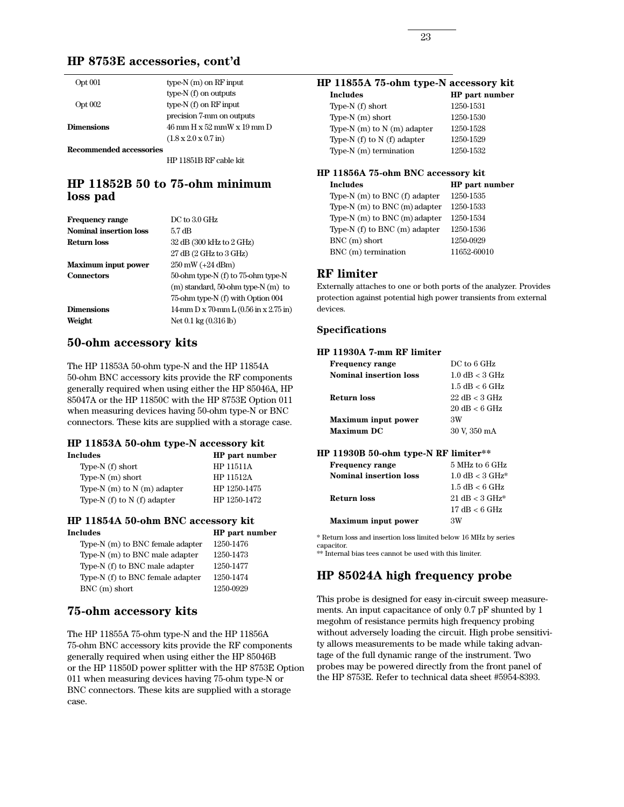### **HP 8753E accessories, cont'd**

| Opt 001                 | type- $N(m)$ on RF input                 | <b>HP 11855A</b> |
|-------------------------|------------------------------------------|------------------|
|                         | type- $N(f)$ on outputs                  | <b>Includes</b>  |
| Opt $002$               | type- $N(f)$ on RF input                 | Type-N $(f)$ sl  |
|                         | precision 7-mm on outputs                | Type- $N(m)$ :   |
| Dimensions              | 46 mm H x 52 mmW x 19 mm D               | Type-N $(m)$ t   |
|                         | $(1.8 \times 2.0 \times 0.7 \text{ in})$ | Type-N $(f)$ to  |
| Recommended accessories |                                          | Type-N $(m)$     |

HP 11851B RF cable kit

### **HP 11852B 50 to 75-ohm minimum loss pad**

| <b>Frequency range</b>        | $DC$ to $3.0$ GHz                                 |
|-------------------------------|---------------------------------------------------|
|                               |                                                   |
| <b>Nominal insertion loss</b> | $5.7 \text{ dB}$                                  |
| Return loss                   | 32 dB (300 kHz to 2 GHz)                          |
|                               | 27 dB (2 GHz to 3 GHz)                            |
| <b>Maximum input power</b>    | 250 mW (+24 dBm)                                  |
| <b>Connectors</b>             | 50-ohm type-N (f) to 75-ohm type-N                |
|                               | $(m)$ standard, 50-ohm type-N $(m)$ to            |
|                               | 75-ohm type-N (f) with Option 004                 |
| <b>Dimensions</b>             | 14-mm $D \times 70$ -mm $L (0.56$ in $x 2.75$ in) |
| Weight                        | Net $0.1 \text{ kg } (0.316 \text{ lb})$          |

### **50-ohm accessory kits**

The HP 11853A 50-ohm type-N and the HP 11854A 50-ohm BNC accessory kits provide the RF components generally required when using either the HP 85046A, HP 85047A or the HP 11850C with the HP 8753E Option 011 when measuring devices having 50-ohm type-N or BNC connectors. These kits are supplied with a storage case.

### **HP 11853A 50-ohm type-N accessory kit**

| Includes                        | HP part number |
|---------------------------------|----------------|
| Type- $N(f)$ short              | HP 11511A      |
| Type- $N(m)$ short              | HP 11512A      |
| Type-N $(m)$ to N $(m)$ adapter | HP 1250-1475   |
| Type-N $(f)$ to N $(f)$ adapter | HP 1250-1472   |

## **HP 11854A 50-ohm BNC accessory kit**

| <b>Includes</b>                  | <b>HP</b> part number |
|----------------------------------|-----------------------|
| Type-N (m) to BNC female adapter | 1250-1476             |
| Type-N (m) to BNC male adapter   | 1250-1473             |
| Type-N (f) to BNC male adapter   | 1250-1477             |
| Type-N (f) to BNC female adapter | 1250-1474             |
| BNC (m) short                    | 1250-0929             |

### **75-ohm accessory kits**

The HP 11855A 75-ohm type-N and the HP 11856A 75-ohm BNC accessory kits provide the RF components generally required when using either the HP 85046B or the HP 11850D power splitter with the HP 8753E Option 011 when measuring devices having 75-ohm type-N or BNC connectors. These kits are supplied with a storage case.

|  |  |  | HP 11855A 75-ohm type-N accessory kit |  |
|--|--|--|---------------------------------------|--|
|--|--|--|---------------------------------------|--|

| <b>Includes</b>                 | <b>HP</b> part number |
|---------------------------------|-----------------------|
| Type- $N(f)$ short              | 1250-1531             |
| Type- $N(m)$ short              | 1250-1530             |
| Type-N $(m)$ to N $(m)$ adapter | 1250-1528             |
| Type-N $(f)$ to N $(f)$ adapter | 1250-1529             |
| Type- $N(m)$ termination        | 1250-1532             |
|                                 |                       |

### **HP 11856A 75-ohm BNC accessory kit**

| <b>Includes</b>                   | <b>HP</b> part number |
|-----------------------------------|-----------------------|
| Type- $N(m)$ to BNC $(f)$ adapter | 1250-1535             |
| Type-N $(m)$ to BNC $(m)$ adapter | 1250-1533             |
| Type-N $(m)$ to BNC $(m)$ adapter | 1250-1534             |
| Type-N $(f)$ to BNC $(m)$ adapter | 1250-1536             |
| $BNC(m)$ short                    | 1250-0929             |
| BNC (m) termination               | 11652-60010           |

### **RF limiter**

Externally attaches to one or both ports of the analyzer. Provides protection against potential high power transients from external devices.

### **Specifications**

### **HP 11930A 7-mm RF limiter**

| <b>Frequency range</b>        | DC to 6 GHz                     |
|-------------------------------|---------------------------------|
| <b>Nominal insertion loss</b> | $1.0$ dB $<$ 3 GHz              |
|                               | $1.5$ dB $<$ 6 GHz              |
| <b>Return loss</b>            | $22 \text{ dB} < 3 \text{ GHz}$ |
|                               | $20 \text{ dB} < 6 \text{ GHz}$ |
| <b>Maximum input power</b>    | ЗW                              |
| Maximum DC                    | 30 V, 350 mA                    |

### **HP 11930B 50-ohm type-N RF limiter\*\***

| <b>Frequency range</b>        | 5 MHz to 6 GHz      |
|-------------------------------|---------------------|
| <b>Nominal insertion loss</b> | $1.0$ dB $<$ 3 GHz* |
|                               | $1.5$ dB $< 6$ GHz  |
| Return loss                   | $21$ dB $<$ 3 GHz*  |
|                               | 17 dB < 6 GHz       |
| <b>Maximum input power</b>    | ЗW                  |

\* Return loss and insertion loss limited below 16 MHz by series capacitor.

\*\* Internal bias tees cannot be used with this limiter.

### **HP 85024A high frequency probe**

This probe is designed for easy in-circuit sweep measurements. An input capacitance of only 0.7 pF shunted by 1 megohm of resistance permits high frequency probing without adversely loading the circuit. High probe sensitivity allows measurements to be made while taking advantage of the full dynamic range of the instrument. Two probes may be powered directly from the front panel of the HP 8753E. Refer to technical data sheet #5954-8393.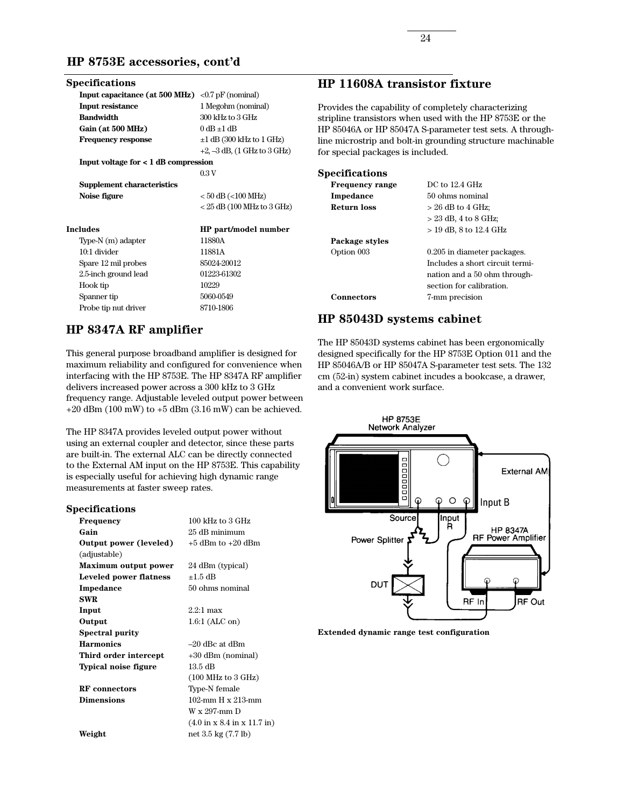### **HP 8753E accessories, cont'd**

### **Specifications**

| ~ poemecanono                                           |                                      |
|---------------------------------------------------------|--------------------------------------|
| <b>Input capacitance (at 500 MHz)</b> <0.7 pF (nominal) |                                      |
| <b>Input resistance</b>                                 | 1 Megohm (nominal)                   |
| <b>Bandwidth</b>                                        | 300 kHz to 3 GHz                     |
| Gain (at 500 MHz)                                       | $0 dB \pm 1 dB$                      |
| <b>Frequency response</b>                               | $\pm 1$ dB (300 kHz to 1 GHz)        |
|                                                         | $+2$ , $-3$ dB, $(1$ GHz to $3$ GHz) |
| Input voltage for < 1 dB compression                    |                                      |
|                                                         | 0.3V                                 |
| Supplement characteristics                              |                                      |
| Noise figure                                            | $< 50$ dB ( $< 100$ MHz)             |
|                                                         | $< 25$ dB (100 MHz to 3 GHz)         |
| Includes                                                | HP part/model number                 |
| Type-N (m) adapter                                      | 11880A                               |
| 10:1 divider                                            | 11881A                               |
| Spare 12 mil probes                                     | 85024-20012                          |
| 2.5-inch ground lead                                    | 01223-61302                          |
| Hook tip                                                | 10229                                |
| Spanner tip                                             | 5060-0549                            |
| Probe tip nut driver                                    | 8710-1806                            |

### **HP 11608A transistor fixture**

Provides the capability of completely characterizing stripline transistors when used with the HP 8753E or the HP 85046A or HP 85047A S-parameter test sets. A throughline microstrip and bolt-in grounding structure machinable for special packages is included.

### **Specifications**

| <b>Frequency range</b> | DC to 12.4 GHz                  |
|------------------------|---------------------------------|
| Impedance              | 50 ohms nominal                 |
| Return loss            | $> 26$ dB to 4 GHz;             |
|                        | $>$ 23 dB, 4 to 8 GHz;          |
|                        | $> 19$ dB, 8 to 12.4 GHz        |
| Package styles         |                                 |
| Option 003             | 0.205 in diameter packages.     |
|                        | Includes a short circuit termi- |
|                        | nation and a 50 ohm through-    |
|                        | section for calibration.        |
| Connectors             | 7-mm precision                  |

### **HP 85043D systems cabinet**

### **HP 8347A RF amplifier**

This general purpose broadband amplifier is designed for maximum reliability and configured for convenience when interfacing with the HP 8753E. The HP 8347A RF amplifier delivers increased power across a 300 kHz to 3 GHz frequency range. Adjustable leveled output power between  $+20$  dBm (100 mW) to  $+5$  dBm (3.16 mW) can be achieved.

The HP 8347A provides leveled output power without using an external coupler and detector, since these parts are built-in. The external ALC can be directly connected to the External AM input on the HP 8753E. This capability is especially useful for achieving high dynamic range measurements at faster sweep rates.

### **Specifications**

| Frequency                   | $100$ kHz to $3$ GHz                                    |
|-----------------------------|---------------------------------------------------------|
| Gain                        | 25 dB minimum                                           |
| Output power (leveled)      | $+5$ dBm to $+20$ dBm                                   |
| (adjustable)                |                                                         |
| <b>Maximum output power</b> | 24 dBm (typical)                                        |
| Leveled power flatness      | $\pm 1.5$ dB                                            |
| Impedance                   | 50 ohms nominal                                         |
| SWR                         |                                                         |
| Input                       | $2.2:1 \text{ max}$                                     |
| Output                      | $1.6:1$ (ALC on)                                        |
| <b>Spectral purity</b>      |                                                         |
| <b>Harmonics</b>            | $-20$ dBc at dBm                                        |
| Third order intercept       | $+30$ dBm (nominal)                                     |
| Typical noise figure        | 13.5 dB                                                 |
|                             | $(100 \text{ MHz to } 3 \text{ GHz})$                   |
| <b>RF</b> connectors        | Type-N female                                           |
| <b>Dimensions</b>           | 102-mm $H \times 213$ -mm                               |
|                             | $W \times 297$ -mm D                                    |
|                             | $(4.0 \text{ in } x 8.4 \text{ in } x 11.7 \text{ in})$ |
| Weight                      | net $3.5 \text{ kg} (7.7 \text{ lb})$                   |

The HP 85043D systems cabinet has been ergonomically designed specifically for the HP 8753E Option 011 and the HP 85046A/B or HP 85047A S-parameter test sets. The 132 cm (52-in) system cabinet incudes a bookcase, a drawer, and a convenient work surface.



**Extended dynamic range test configuration**